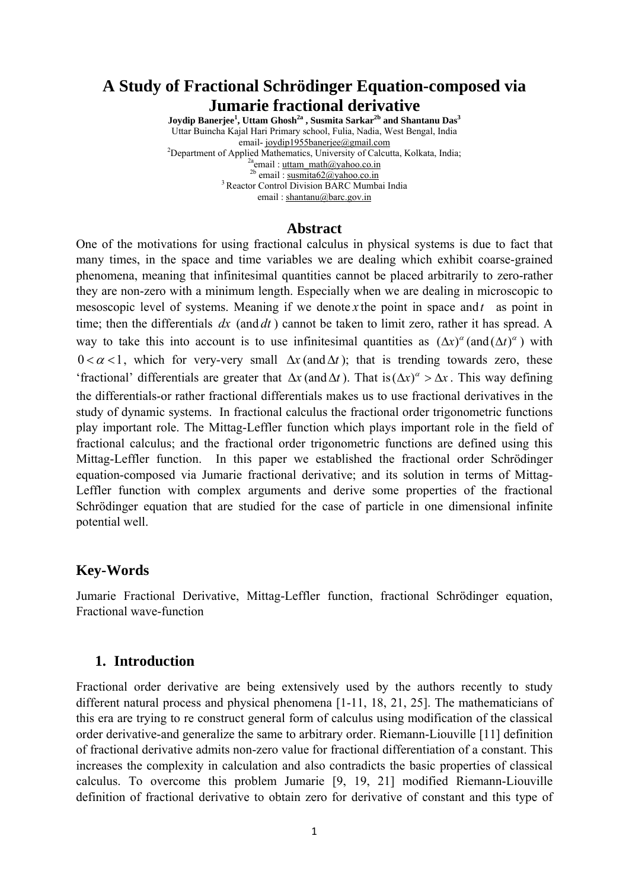# **A Study of Fractional Schrödinger Equation-composed via Jumarie fractional derivative**

**Joydip Banerjee<sup>1</sup> , Uttam Ghosh2a , Susmita Sarkar2b and Shantanu Das3** Uttar Buincha Kajal Hari Primary school, Fulia, Nadia, West Bengal, India email- [joydip1955banerjee@gmail.com](mailto:joydip1955banerjee@gmail.com)<br><sup>2</sup>Department of Applied Mathematics, University of Calcutta, Kolkata, India; <sup>2a</sup>email : <u>uttam\_math@yahoo.co.in</u><br><sup>2b</sup> email : <u>[susmita62@yahoo.co.in](mailto:susmita62@yahoo.co.in)</u> 3 Reactor Control Division BARC Mumbai India email : shantanu@barc.gov.in

# **Abstract**

One of the motivations for using fractional calculus in physical systems is due to fact that many times, in the space and time variables we are dealing which exhibit coarse-grained phenomena, meaning that infinitesimal quantities cannot be placed arbitrarily to zero-rather they are non-zero with a minimum length. Especially when we are dealing in microscopic to mesoscopic level of systems. Meaning if we denote *x* the point in space and*t* as point in time; then the differentials *dx* (and *dt* ) cannot be taken to limit zero, rather it has spread. A way to take this into account is to use infinitesimal quantities as  $(\Delta x)^{\alpha}$  (and  $(\Delta t)^{\alpha}$ ) with  $0 < \alpha < 1$ , which for very-very small  $\Delta x$  (and  $\Delta t$ ); that is trending towards zero, these 'fractional' differentials are greater that  $\Delta x$  (and  $\Delta t$ ). That is  $(\Delta x)^{\alpha} > \Delta x$ . This way defining the differentials-or rather fractional differentials makes us to use fractional derivatives in the study of dynamic systems. In fractional calculus the fractional order trigonometric functions play important role. The Mittag-Leffler function which plays important role in the field of fractional calculus; and the fractional order trigonometric functions are defined using this Mittag-Leffler function. In this paper we established the fractional order Schrödinger equation-composed via Jumarie fractional derivative; and its solution in terms of Mittag-Leffler function with complex arguments and derive some properties of the fractional Schrödinger equation that are studied for the case of particle in one dimensional infinite potential well.

# **Key-Words**

Jumarie Fractional Derivative, Mittag-Leffler function, fractional Schrödinger equation, Fractional wave-function

# **1. Introduction**

Fractional order derivative are being extensively used by the authors recently to study different natural process and physical phenomena [1-11, 18, 21, 25]. The mathematicians of this era are trying to re construct general form of calculus using modification of the classical order derivative-and generalize the same to arbitrary order. Riemann-Liouville [11] definition of fractional derivative admits non-zero value for fractional differentiation of a constant. This increases the complexity in calculation and also contradicts the basic properties of classical calculus. To overcome this problem Jumarie [9, 19, 21] modified Riemann-Liouville definition of fractional derivative to obtain zero for derivative of constant and this type of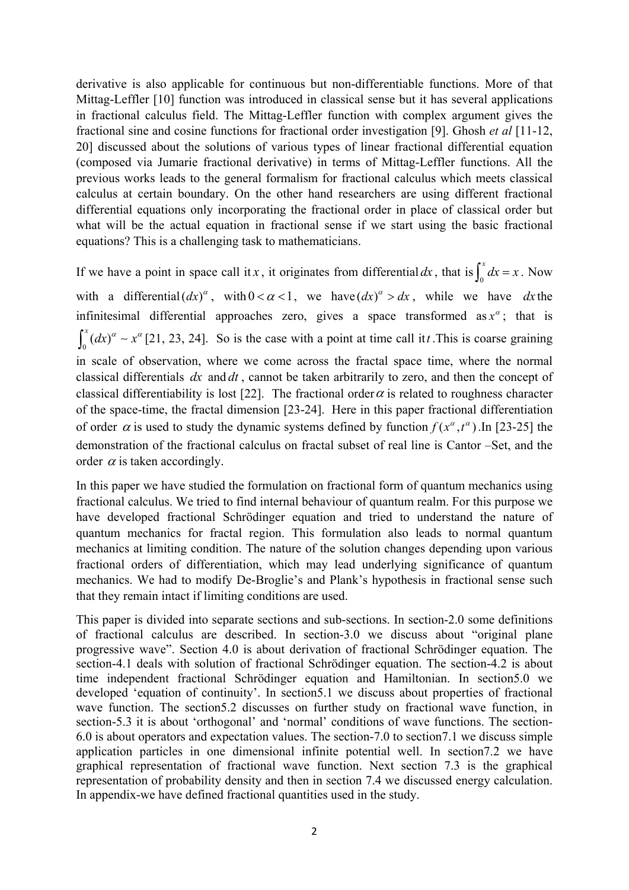derivative is also applicable for continuous but non-differentiable functions. More of that Mittag-Leffler [10] function was introduced in classical sense but it has several applications in fractional calculus field. The Mittag-Leffler function with complex argument gives the fractional sine and cosine functions for fractional order investigation [9]. Ghosh *et al* [11-12, 20] discussed about the solutions of various types of linear fractional differential equation (composed via Jumarie fractional derivative) in terms of Mittag-Leffler functions. All the previous works leads to the general formalism for fractional calculus which meets classical calculus at certain boundary. On the other hand researchers are using different fractional differential equations only incorporating the fractional order in place of classical order but what will be the actual equation in fractional sense if we start using the basic fractional equations? This is a challenging task to mathematicians.

If we have a point in space call it *x*, it originates from differential dx, that is  $\int_0^x dx = x$ . Now with a differential  $(dx)^{\alpha}$ , with  $0 < \alpha < 1$ , we have  $(dx)^{\alpha} > dx$ , while we have dx the  $\int_0^x dx = x$ infinitesimal differential approaches zero, gives a space transformed as  $x^{\alpha}$ ; that is  $\int_0^x (dx)^\alpha \sim x^\alpha$  [21, 23, 24]. So is the case with a point at time call it *t*. This is coarse graining in scale of observation, where we come across the fractal space time, where the normal classical differentials  $dx$  and  $dt$ , cannot be taken arbitrarily to zero, and then the concept of classical differentiability is lost [22]. The fractional order  $\alpha$  is related to roughness character of the space-time, the fractal dimension [23-24]. Here in this paper fractional differentiation of order  $\alpha$  is used to study the dynamic systems defined by function  $f(x^{\alpha}, t^{\alpha})$ . In [23-25] the demonstration of the fractional calculus on fractal subset of real line is Cantor –Set, and the order  $\alpha$  is taken accordingly.

In this paper we have studied the formulation on fractional form of quantum mechanics using fractional calculus. We tried to find internal behaviour of quantum realm. For this purpose we have developed fractional Schrödinger equation and tried to understand the nature of quantum mechanics for fractal region. This formulation also leads to normal quantum mechanics at limiting condition. The nature of the solution changes depending upon various fractional orders of differentiation, which may lead underlying significance of quantum mechanics. We had to modify De-Broglie's and Plank's hypothesis in fractional sense such that they remain intact if limiting conditions are used.

This paper is divided into separate sections and sub-sections. In section-2.0 some definitions of fractional calculus are described. In section-3.0 we discuss about "original plane progressive wave". Section 4.0 is about derivation of fractional Schrödinger equation. The section-4.1 deals with solution of fractional Schrödinger equation. The section-4.2 is about time independent fractional Schrödinger equation and Hamiltonian. In section5.0 we developed 'equation of continuity'. In section5.1 we discuss about properties of fractional wave function. The section5.2 discusses on further study on fractional wave function, in section-5.3 it is about 'orthogonal' and 'normal' conditions of wave functions. The section-6.0 is about operators and expectation values. The section-7.0 to section7.1 we discuss simple application particles in one dimensional infinite potential well. In section7.2 we have graphical representation of fractional wave function. Next section 7.3 is the graphical representation of probability density and then in section 7.4 we discussed energy calculation. In appendix-we have defined fractional quantities used in the study.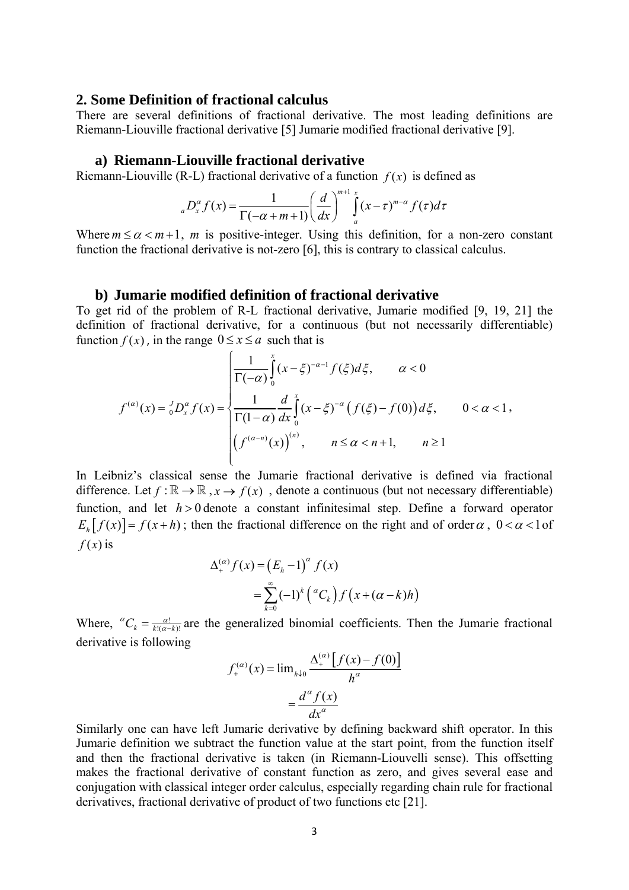### **2. Some Definition of fractional calculus**

There are several definitions of fractional derivative. The most leading definitions are Riemann-Liouville fractional derivative [5] Jumarie modified fractional derivative [9].

#### **a) Riemann-Liouville fractional derivative**

Riemann-Liouville (R-L) fractional derivative of a function  $f(x)$  is defined as

$$
{}_{a}D_{x}^{\alpha}f(x) = \frac{1}{\Gamma(-\alpha+m+1)} \left(\frac{d}{dx}\right)^{m+1} \int_{a}^{x} (x-\tau)^{m-\alpha} f(\tau) d\tau
$$

Where  $m \le \alpha < m+1$ , *m* is positive-integer. Using this definition, for a non-zero constant function the fractional derivative is not-zero [6], this is contrary to classical calculus.

### **b) Jumarie modified definition of fractional derivative**

To get rid of the problem of R-L fractional derivative, Jumarie modified [9, 19, 21] the definition of fractional derivative, for a continuous (but not necessarily differentiable) function  $f(x)$ , in the range  $0 \le x \le a$  such that is

$$
f^{(\alpha)}(x) = \int_0^J D_x^{\alpha} f(x) dx = \begin{cases} \frac{1}{\Gamma(-\alpha)} \int_0^x (x - \xi)^{-\alpha - 1} f(\xi) d\xi, & \alpha < 0\\ \frac{1}{\Gamma(1 - \alpha)} \frac{d}{dx} \int_0^x (x - \xi)^{-\alpha} (f(\xi) - f(0)) d\xi, & 0 < \alpha < 1, \\ \left( f^{(\alpha - n)}(x) \right)^{(n)}, & n \le \alpha < n + 1, & n \ge 1 \end{cases}
$$

In Leibniz's classical sense the Jumarie fractional derivative is defined via fractional difference. Let  $f : \mathbb{R} \to \mathbb{R}$ ,  $x \to f(x)$ , denote a continuous (but not necessary differentiable) function, and let  $h > 0$  denote a constant infinitesimal step. Define a forward operator  $E_h[f(x)] = f(x+h)$ ; then the fractional difference on the right and of order  $\alpha$ ,  $0 < \alpha < 1$  of  $f(x)$  is

$$
\Delta_{+}^{(\alpha)} f(x) = (E_h - 1)^{\alpha} f(x)
$$
  
= 
$$
\sum_{k=0}^{\infty} (-1)^k {\alpha C_k} f(x + (\alpha - k)h)
$$

Where,  ${}^{\alpha}C_k = \frac{\alpha!}{k!(\alpha-k)!}$  are the generalized binomial coefficients. Then the Jumarie fractional derivative is following

$$
f_{+}^{(\alpha)}(x) = \lim_{h \downarrow 0} \frac{\Delta_{+}^{(\alpha)} [f(x) - f(0)]}{h^{\alpha}}
$$

$$
= \frac{d^{\alpha} f(x)}{dx^{\alpha}}
$$

Similarly one can have left Jumarie derivative by defining backward shift operator. In this Jumarie definition we subtract the function value at the start point, from the function itself and then the fractional derivative is taken (in Riemann-Liouvelli sense). This offsetting makes the fractional derivative of constant function as zero, and gives several ease and conjugation with classical integer order calculus, especially regarding chain rule for fractional derivatives, fractional derivative of product of two functions etc [21].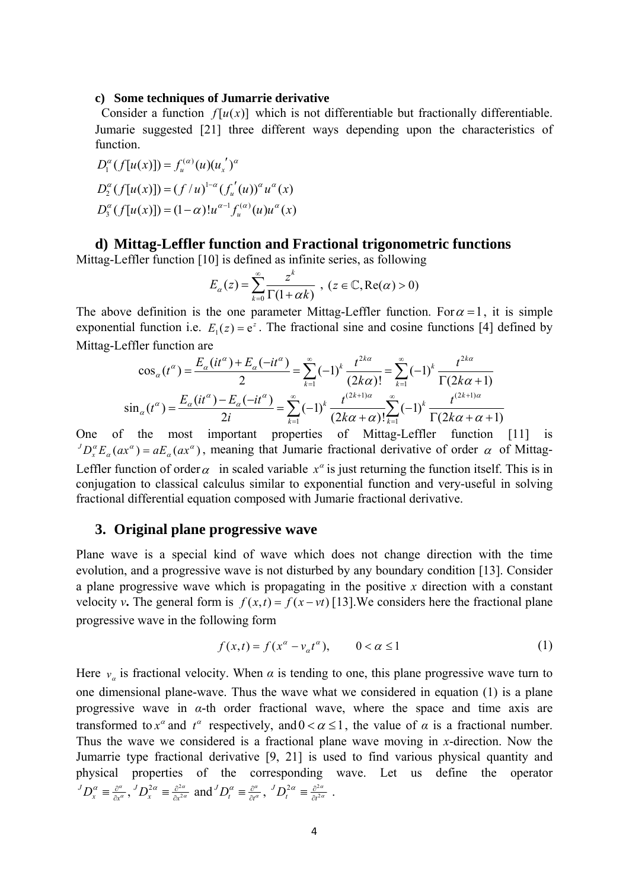#### **c) Some techniques of Jumarrie derivative**

Consider a function  $f[u(x)]$  which is not differentiable but fractionally differentiable. Jumarie suggested [21] three different ways depending upon the characteristics of function.

$$
D_1^{\alpha}(f[u(x)]) = f_u^{(\alpha)}(u)(u_x')^{\alpha}
$$
  
\n
$$
D_2^{\alpha}(f[u(x)]) = (f/u)^{1-\alpha}(f_u'(u))^{\alpha}u^{\alpha}(x)
$$
  
\n
$$
D_3^{\alpha}(f[u(x)]) = (1-\alpha)!u^{\alpha-1}f_u^{(\alpha)}(u)u^{\alpha}(x)
$$

# **d) Mittag-Leffler function and Fractional trigonometric functions**

Mittag-Leffler function [10] is defined as infinite series, as following

$$
E_{\alpha}(z) = \sum_{k=0}^{\infty} \frac{z^k}{\Gamma(1+\alpha k)}, \ (z \in \mathbb{C}, \text{Re}(\alpha) > 0)
$$

The above definition is the one parameter Mittag-Leffler function. For  $\alpha = 1$ , it is simple exponential function i.e.  $E_1(z) = e^z$ . The fractional sine and cosine functions [4] defined by Mittag-Leffler function are

$$
\cos_{\alpha}(t^{\alpha}) = \frac{E_{\alpha}(it^{\alpha}) + E_{\alpha}(-it^{\alpha})}{2} = \sum_{k=1}^{\infty} (-1)^{k} \frac{t^{2k\alpha}}{(2k\alpha)!} = \sum_{k=1}^{\infty} (-1)^{k} \frac{t^{2k\alpha}}{\Gamma(2k\alpha+1)}
$$

$$
\sin_{\alpha}(t^{\alpha}) = \frac{E_{\alpha}(it^{\alpha}) - E_{\alpha}(-it^{\alpha})}{2i} = \sum_{k=1}^{\infty} (-1)^{k} \frac{t^{(2k+1)\alpha}}{(2k\alpha+\alpha)!} \sum_{k=1}^{\infty} (-1)^{k} \frac{t^{(2k+1)\alpha}}{\Gamma(2k\alpha+\alpha+1)}
$$

One of the most important properties of Mittag-Leffler function [11] is  $J D_x^{\alpha} E_{\alpha}(ax^{\alpha}) = aE_{\alpha}(ax^{\alpha})$ , meaning that Jumarie fractional derivative of order  $\alpha$  of Mittag-Leffler function of order  $\alpha$  in scaled variable  $x^{\alpha}$  is just returning the function itself. This is in conjugation to classical calculus similar to exponential function and very-useful in solving fractional differential equation composed with Jumarie fractional derivative.

# **3. Original plane progressive wave**

Plane wave is a special kind of wave which does not change direction with the time evolution, and a progressive wave is not disturbed by any boundary condition [13]. Consider a plane progressive wave which is propagating in the positive *x* direction with a constant velocity *v***.** The general form is  $f(x,t) = f(x-vt)$  [13]. We considers here the fractional plane progressive wave in the following form

$$
f(x,t) = f(x^{\alpha} - v_{\alpha}t^{\alpha}), \qquad 0 < \alpha \le 1
$$
 (1)

Here  $v_a$  is fractional velocity. When  $\alpha$  is tending to one, this plane progressive wave turn to one dimensional plane-wave. Thus the wave what we considered in equation (1) is a plane progressive wave in *α*-th order fractional wave, where the space and time axis are transformed to  $x^{\alpha}$  and  $t^{\alpha}$  respectively, and  $0 < \alpha \le 1$ , the value of  $\alpha$  is a fractional number. Thus the wave we considered is a fractional plane wave moving in *x*-direction. Now the Jumarrie type fractional derivative [9, 21] is used to find various physical quantity and physical properties of the corresponding wave. Let us define the operator  ${}^{J}D_{x}^{\alpha} \equiv \frac{\partial^{\alpha}}{\partial x^{\alpha}}$ ,  ${}^{J}D_{x}^{2\alpha} \equiv \frac{\partial^{2\alpha}}{\partial x^{2\alpha}}$  and  ${}^{J}D_{t}^{\alpha} \equiv \frac{\partial^{\alpha}}{\partial t^{\alpha}}$ ,  ${}^{J}D_{t}^{2\alpha} \equiv \frac{\partial^{2\alpha}}{\partial t^{2\alpha}}$ .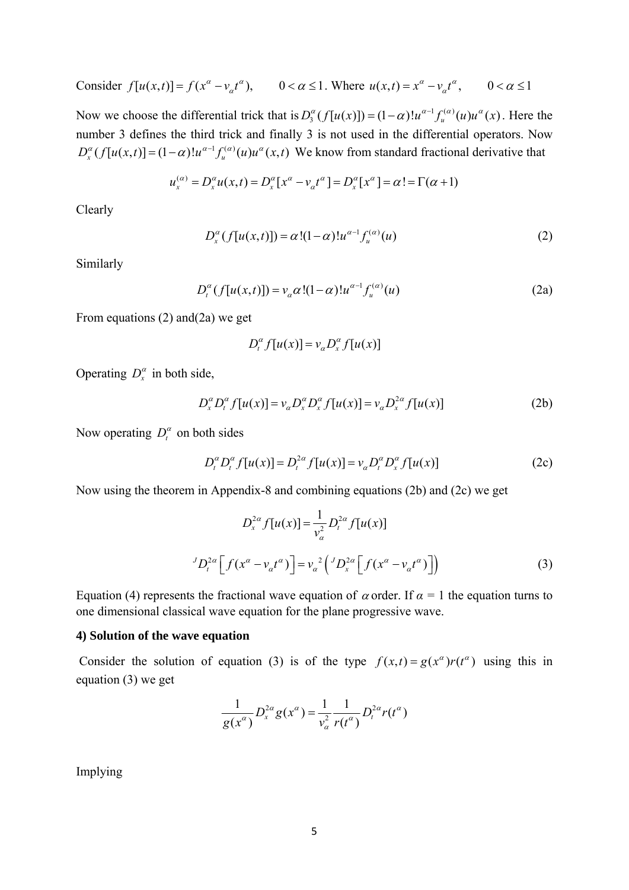Consider 
$$
f[u(x,t)] = f(x^{\alpha} - v_{\alpha}t^{\alpha})
$$
,  $0 < \alpha \le 1$ . Where  $u(x,t) = x^{\alpha} - v_{\alpha}t^{\alpha}$ ,  $0 < \alpha \le 1$ 

Now we choose the differential trick that is  $D_3^{\alpha}(f[u(x)]) = (1-\alpha)!u^{\alpha-1}f_u^{(\alpha)}(u)u^{\alpha}(x)$ . Here the number 3 defines the third trick and finally 3 is not used in the differential operators. Now  $D_x^{\alpha}(f[u(x,t)] = (1-\alpha)!u^{\alpha-1}f_u^{(\alpha)}(u)u^{\alpha}(x,t)$  We know from standard fractional derivative that

$$
u_x^{(\alpha)} = D_x^{\alpha} u(x,t) = D_x^{\alpha} [x^{\alpha} - v_{\alpha} t^{\alpha}] = D_x^{\alpha} [x^{\alpha}] = \alpha! = \Gamma(\alpha + 1)
$$

Clearly

$$
D_x^{\alpha}(f[u(x,t)]) = \alpha! (1-\alpha)! u^{\alpha-1} f_u^{(\alpha)}(u)
$$
 (2)

Similarly

$$
D_t^{\alpha}(f[u(x,t)]) = v_{\alpha}\alpha! (1-\alpha)! u^{\alpha-1} f_u^{(\alpha)}(u)
$$
 (2a)

From equations (2) and(2a) we get

$$
D_t^{\alpha} f[u(x)] = v_{\alpha} D_x^{\alpha} f[u(x)]
$$

Operating  $D_x^{\alpha}$  in both side,

$$
D_x^{\alpha} D_t^{\alpha} f[u(x)] = v_{\alpha} D_x^{\alpha} D_x^{\alpha} f[u(x)] = v_{\alpha} D_x^{2\alpha} f[u(x)]
$$
 (2b)

Now operating  $D_t^{\alpha}$  on both sides

$$
D_t^{\alpha} D_t^{\alpha} f[u(x)] = D_t^{2\alpha} f[u(x)] = v_{\alpha} D_t^{\alpha} D_x^{\alpha} f[u(x)]
$$
 (2c)

Now using the theorem in Appendix-8 and combining equations (2b) and (2c) we get

$$
D_x^{2\alpha} f[u(x)] = \frac{1}{v_\alpha^2} D_t^{2\alpha} f[u(x)]
$$
  

$$
{}^{J} D_t^{2\alpha} \Big[ f(x^\alpha - v_\alpha t^\alpha) \Big] = v_\alpha^{2} \Big( {}^{J} D_x^{2\alpha} \Big[ f(x^\alpha - v_\alpha t^\alpha) \Big] \Big)
$$
 (3)

Equation (4) represents the fractional wave equation of  $\alpha$  order. If  $\alpha = 1$  the equation turns to one dimensional classical wave equation for the plane progressive wave.

### **4) Solution of the wave equation**

Consider the solution of equation (3) is of the type  $f(x,t) = g(x^{\alpha})r(t^{\alpha})$  using this in equation (3) we get

$$
\frac{1}{g(x^{\alpha})}D_{x}^{2\alpha}g(x^{\alpha})=\frac{1}{v_{\alpha}^{2}}\frac{1}{r(t^{\alpha})}D_{t}^{2\alpha}r(t^{\alpha})
$$

Implying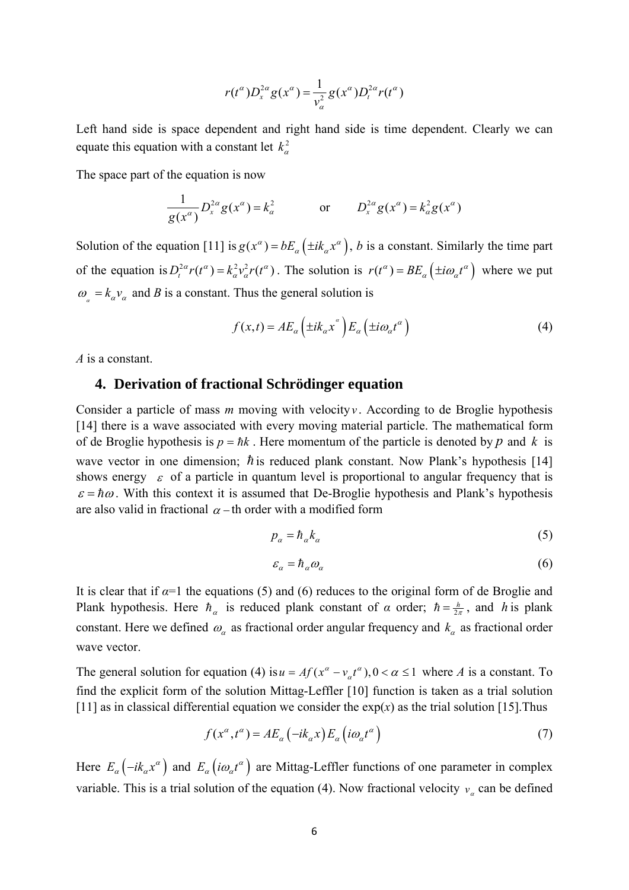$$
r(t^{\alpha})D_{x}^{2\alpha}g(x^{\alpha})=\frac{1}{v_{\alpha}^{2}}g(x^{\alpha})D_{t}^{2\alpha}r(t^{\alpha})
$$

Left hand side is space dependent and right hand side is time dependent. Clearly we can equate this equation with a constant let  $k_{\alpha}^2$ 

The space part of the equation is now

$$
\frac{1}{g(x^{\alpha})}D_x^{2\alpha}g(x^{\alpha})=k_{\alpha}^2 \qquad \text{or} \qquad D_x^{2\alpha}g(x^{\alpha})=k_{\alpha}^2g(x^{\alpha})
$$

Solution of the equation [11] is  $g(x^{\alpha}) = bE_{\alpha}(\pm ik_{\alpha}x^{\alpha})$ , *b* is a constant. Similarly the time part of the equation is  $D_t^{2\alpha} r(t^{\alpha}) = k_{\alpha}^2 v_{\alpha}^2 r(t^{\alpha})$ . The solution is  $r(t^{\alpha}) = BE_{\alpha}(\pm i\omega_{\alpha}t^{\alpha})$  where we put  $\omega_{\mu} = k_{\alpha} v_{\alpha}$  and *B* is a constant. Thus the general solution is

$$
f(x,t) = AE_{\alpha} \left( \pm ik_{\alpha} x^{\alpha} \right) E_{\alpha} \left( \pm i\omega_{\alpha} t^{\alpha} \right)
$$
 (4)

*A* is a constant.

### **4. Derivation of fractional Schrödinger equation**

Consider a particle of mass *m* moving with velocity*v*. According to de Broglie hypothesis [14] there is a wave associated with every moving material particle. The mathematical form of de Broglie hypothesis is  $p = \hbar k$ . Here momentum of the particle is denoted by p and k is wave vector in one dimension;  $\hbar$  is reduced plank constant. Now Plank's hypothesis [14] shows energy  $\varepsilon$  of a particle in quantum level is proportional to angular frequency that is  $\varepsilon = \hbar \omega$ . With this context it is assumed that De-Broglie hypothesis and Plank's hypothesis are also valid in fractional  $\alpha$  – th order with a modified form

$$
p_{\alpha} = \hbar_{\alpha} k_{\alpha} \tag{5}
$$

$$
\varepsilon_{\alpha} = \hbar_{\alpha} \omega_{\alpha} \tag{6}
$$

It is clear that if  $\alpha=1$  the equations (5) and (6) reduces to the original form of de Broglie and Plank hypothesis. Here  $\hbar_a$  is reduced plank constant of  $\alpha$  order;  $\hbar = \frac{h}{2\pi}$ , and  $h$  is plank constant. Here we defined  $\omega_a$  as fractional order angular frequency and  $k_a$  as fractional order wave vector.

The general solution for equation (4) is  $u = Af(x^{\alpha} - v_{\alpha}t^{\alpha})$ ,  $0 < \alpha \leq 1$  where *A* is a constant. To find the explicit form of the solution Mittag-Leffler [10] function is taken as a trial solution [11] as in classical differential equation we consider the  $exp(x)$  as the trial solution [15]. Thus

$$
f(x^{\alpha}, t^{\alpha}) = AE_{\alpha}(-ik_{\alpha}x)E_{\alpha}(i\omega_{\alpha}t^{\alpha})
$$
\n(7)

Here  $E_{\alpha}(-ik_{\alpha}x^{\alpha})$  and  $E_{\alpha}(i\omega_{\alpha}t^{\alpha})$  are Mittag-Leffler functions of one parameter in complex variable. This is a trial solution of the equation (4). Now fractional velocity  $v_\alpha$  can be defined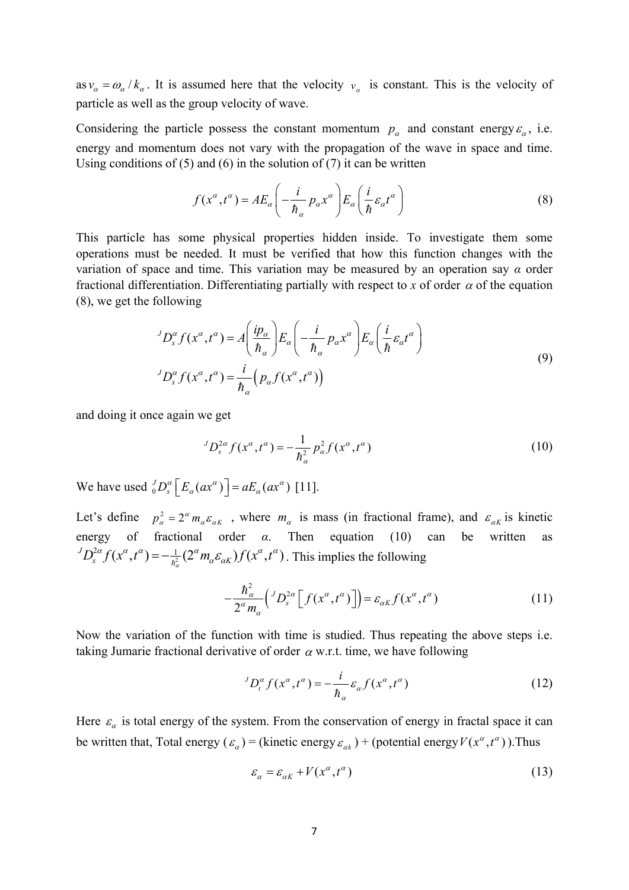as  $v_a = \omega_a / k_a$ . It is assumed here that the velocity  $v_a$  is constant. This is the velocity of particle as well as the group velocity of wave.

Considering the particle possess the constant momentum  $p_\alpha$  and constant energy  $\varepsilon_\alpha$ , i.e. energy and momentum does not vary with the propagation of the wave in space and time. Using conditions of  $(5)$  and  $(6)$  in the solution of  $(7)$  it can be written

$$
f(x^{\alpha}, t^{\alpha}) = AE_{\alpha} \left( -\frac{i}{\hbar_{\alpha}} p_{\alpha} x^{\alpha} \right) E_{\alpha} \left( \frac{i}{\hbar} \varepsilon_{\alpha} t^{\alpha} \right)
$$
 (8)

This particle has some physical properties hidden inside. To investigate them some operations must be needed. It must be verified that how this function changes with the variation of space and time. This variation may be measured by an operation say *α* order fractional differentiation. Differentiating partially with respect to *x* of order  $\alpha$  of the equation (8), we get the following

$$
{}^{J}D_{x}^{\alpha}f(x^{\alpha},t^{\alpha}) = A\left(\frac{ip_{\alpha}}{\hbar_{\alpha}}\right)E_{\alpha}\left(-\frac{i}{\hbar_{\alpha}}p_{\alpha}x^{\alpha}\right)E_{\alpha}\left(\frac{i}{\hbar}\varepsilon_{\alpha}t^{\alpha}\right)
$$
  

$$
{}^{J}D_{x}^{\alpha}f(x^{\alpha},t^{\alpha}) = \frac{i}{\hbar_{\alpha}}\left(p_{\alpha}f(x^{\alpha},t^{\alpha})\right)
$$
 (9)

and doing it once again we get

$$
{}^{J}D_{x}^{2\alpha} f(x^{\alpha}, t^{\alpha}) = -\frac{1}{\hbar_{\alpha}^{2}} p_{\alpha}^{2} f(x^{\alpha}, t^{\alpha})
$$
\n(10)

We have used  $\int_0^J D_x^{\alpha} \left[ E_{\alpha} (ax^{\alpha}) \right] = aE_{\alpha} (ax^{\alpha})$  [11].

Let's define  $p_{\alpha}^2 = 2^{\alpha} m_{\alpha} \varepsilon_{\alpha K}$ , where  $m_{\alpha}$  is mass (in fractional frame), and  $\varepsilon_{\alpha K}$  is kinetic energy of fractional order *α*. Then equation (10) can be written as  $J D_x^{2\alpha} f(x^{\alpha}, t^{\alpha}) = -\frac{1}{\hbar^2} (2^{\alpha} m_{\alpha} \varepsilon_{\alpha K}) f(x^{\alpha}, t^{\alpha})$ . This implies the following α

$$
-\frac{\hbar^2_{\alpha}}{2^{\alpha}m_{\alpha}}\Big({}^{J}D_{x}^{2\alpha}\Big[f(x^{\alpha},t^{\alpha})\Big]\Big) = \varepsilon_{\alpha K}f(x^{\alpha},t^{\alpha})\tag{11}
$$

Now the variation of the function with time is studied. Thus repeating the above steps i.e. taking Jumarie fractional derivative of order  $\alpha$  w.r.t. time, we have following

$$
{}^{J}D_{t}^{\alpha}f(x^{\alpha},t^{\alpha})=-\frac{i}{\hbar_{\alpha}}\varepsilon_{\alpha}f(x^{\alpha},t^{\alpha})
$$
\n(12)

Here  $\varepsilon_{\alpha}$  is total energy of the system. From the conservation of energy in fractal space it can be written that, Total energy  $(\varepsilon_{\alpha})$  = (kinetic energy  $\varepsilon_{\alpha k}$ ) + (potential energy  $V(x^{\alpha}, t^{\alpha})$ ). Thus

$$
\varepsilon_{\alpha} = \varepsilon_{\alpha K} + V(x^{\alpha}, t^{\alpha}) \tag{13}
$$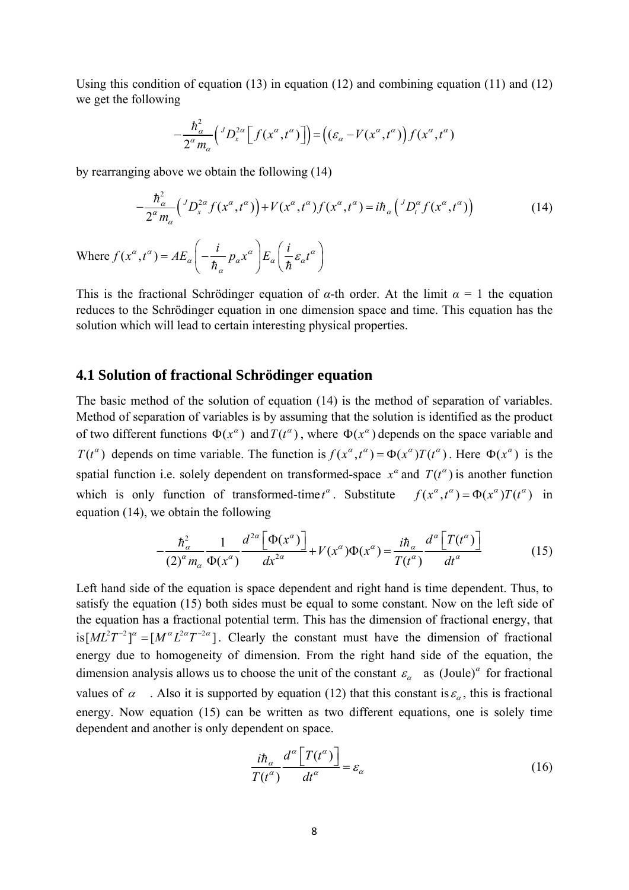Using this condition of equation (13) in equation (12) and combining equation (11) and (12) we get the following

$$
-\frac{\hbar^2_{\alpha}}{2^{\alpha}m_{\alpha}}\Big({^J}D_x^{2\alpha}\Big[f(x^{\alpha},t^{\alpha})\Big]\Big)=\Big((\varepsilon_{\alpha}-V(x^{\alpha},t^{\alpha})\Big)f(x^{\alpha},t^{\alpha})
$$

by rearranging above we obtain the following (14)

$$
-\frac{\hbar_{\alpha}^{2}}{2^{\alpha}m_{\alpha}}\left(\,^{J}D_{x}^{2\alpha}f(x^{\alpha},t^{\alpha})\right)+V(x^{\alpha},t^{\alpha})f(x^{\alpha},t^{\alpha})=i\hbar_{\alpha}\left(\,^{J}D_{t}^{\alpha}f(x^{\alpha},t^{\alpha})\right) \tag{14}
$$

Where  $f(x^{\alpha},t^{\alpha}) = AE_{\alpha} \left(-\frac{i}{\lambda} p_{\alpha}x^{\alpha}\right)E_{\alpha} \left(\frac{i}{\lambda} \varepsilon_{\alpha}t^{\alpha}\right)$ α  $= AE_{\alpha} \left( -\frac{i}{\hbar_{\alpha}} p_{\alpha} x^{\alpha} \right) E_{\alpha} \left( \frac{i}{\hbar} \varepsilon_{\alpha} t^{\alpha} \right)$ 

This is the fractional Schrödinger equation of  $\alpha$ -th order. At the limit  $\alpha = 1$  the equation reduces to the Schrödinger equation in one dimension space and time. This equation has the solution which will lead to certain interesting physical properties.

# **4.1 Solution of fractional Schrödinger equation**

The basic method of the solution of equation (14) is the method of separation of variables. Method of separation of variables is by assuming that the solution is identified as the product of two different functions  $\Phi(x^{\alpha})$  and  $T(t^{\alpha})$ , where  $\Phi(x^{\alpha})$  depends on the space variable and *T*( $t^{\alpha}$ ) depends on time variable. The function is  $f(x^{\alpha}, t^{\alpha}) = \Phi(x^{\alpha})T(t^{\alpha})$ . Here  $\Phi(x^{\alpha})$  is the spatial function i.e. solely dependent on transformed-space  $x^{\alpha}$  and  $T(t^{\alpha})$  is another function which is only function of transformed-time  $t^{\alpha}$ . Substitute  $f(x^{\alpha}, t^{\alpha}) = \Phi(x^{\alpha})T(t^{\alpha})$  in equation (14), we obtain the following

$$
-\frac{\hbar_{\alpha}^{2}}{(2)^{\alpha}m_{\alpha}}\frac{1}{\Phi(x^{\alpha})}\frac{d^{2\alpha}\left[\Phi(x^{\alpha})\right]}{dx^{2\alpha}}+V(x^{\alpha})\Phi(x^{\alpha})=\frac{i\hbar_{\alpha}}{T(t^{\alpha})}\frac{d^{\alpha}\left[T(t^{\alpha})\right]}{dt^{\alpha}}
$$
(15)

is  $[ML^2T^{-2}]^{\alpha} = [M^{\alpha}L^{2\alpha}T^{-2\alpha}]$ . Clearly the constant must have the dimension of fractional Left hand side of the equation is space dependent and right hand is time dependent. Thus, to satisfy the equation (15) both sides must be equal to some constant. Now on the left side of the equation has a fractional potential term. This has the dimension of fractional energy, that energy due to homogeneity of dimension. From the right hand side of the equation, the dimension analysis allows us to choose the unit of the constant  $\varepsilon_a$  as (Joule)<sup>α</sup> for fractional values of  $\alpha$  . Also it is supported by equation (12) that this constant is  $\varepsilon_{\alpha}$ , this is fractional energy. Now equation (15) can be written as two different equations, one is solely time dependent and another is only dependent on space.

$$
\frac{i\hbar_{\alpha}}{T(t^{\alpha})}\frac{d^{\alpha}[T(t^{\alpha})]}{dt^{\alpha}} = \varepsilon_{\alpha}
$$
\n(16)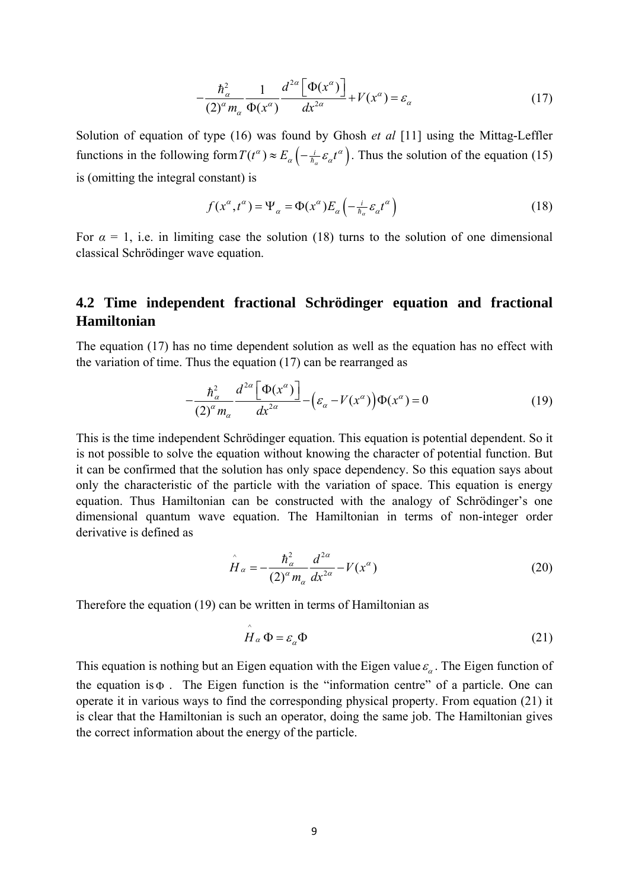$$
-\frac{\hbar_{\alpha}^{2}}{(2)^{\alpha}m_{\alpha}}\frac{1}{\Phi(x^{\alpha})}\frac{d^{2\alpha}\left[\Phi(x^{\alpha})\right]}{dx^{2\alpha}}+V(x^{\alpha})=\varepsilon_{\alpha}
$$
\n(17)

Solution of equation of type (16) was found by Ghosh *et al* [11] using the Mittag-Leffler functions in the following form  $T(t^{\alpha}) \approx E_{\alpha} \left( -\frac{i}{\hbar_{\alpha}} \varepsilon_{\alpha} t^{\alpha} \right)$ . Thus the solution of the equation (15) is (omitting the integral constant) is

$$
f(x^{\alpha},t^{\alpha}) = \Psi_{\alpha} = \Phi(x^{\alpha})E_{\alpha}\left(-\frac{i}{\hbar_{\alpha}}\varepsilon_{\alpha}t^{\alpha}\right)
$$
 (18)

For  $\alpha = 1$ , i.e. in limiting case the solution (18) turns to the solution of one dimensional classical Schrödinger wave equation.

# **4.2 Time independent fractional Schrödinger equation and fractional Hamiltonian**

The equation (17) has no time dependent solution as well as the equation has no effect with the variation of time. Thus the equation (17) can be rearranged as

$$
-\frac{\hbar_{\alpha}^2}{(2)^{\alpha}m_{\alpha}}\frac{d^{2\alpha}\left[\Phi(x^{\alpha})\right]}{dx^{2\alpha}}-\left(\varepsilon_{\alpha}-V(x^{\alpha})\right)\Phi(x^{\alpha})=0
$$
\n(19)

This is the time independent Schrödinger equation. This equation is potential dependent. So it is not possible to solve the equation without knowing the character of potential function. But it can be confirmed that the solution has only space dependency. So this equation says about only the characteristic of the particle with the variation of space. This equation is energy equation. Thus Hamiltonian can be constructed with the analogy of Schrödinger's one dimensional quantum wave equation. The Hamiltonian in terms of non-integer order derivative is defined as

$$
\hat{H}_{\alpha} = -\frac{\hbar_{\alpha}^{2}}{(2)^{\alpha} m_{\alpha}} \frac{d^{2\alpha}}{dx^{2\alpha}} - V(x^{\alpha})
$$
\n(20)

Therefore the equation (19) can be written in terms of Hamiltonian as

$$
\hat{H}_\alpha \, \Phi = \varepsilon_\alpha \Phi \tag{21}
$$

This equation is nothing but an Eigen equation with the Eigen value  $\varepsilon_{\alpha}$ . The Eigen function of the equation is  $\Phi$ . The Eigen function is the "information centre" of a particle. One can operate it in various ways to find the corresponding physical property. From equation (21) it is clear that the Hamiltonian is such an operator, doing the same job. The Hamiltonian gives the correct information about the energy of the particle.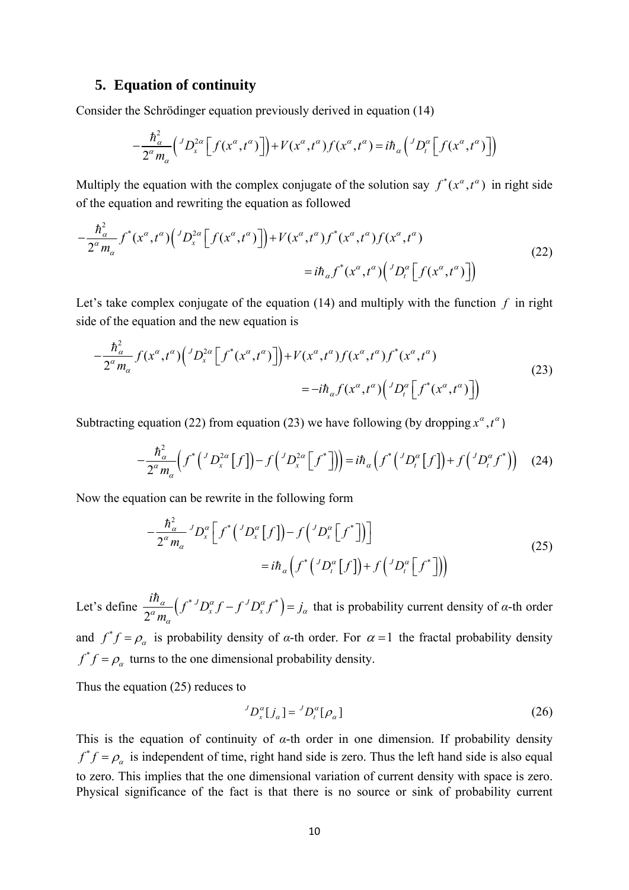## **5. Equation of continuity**

Consider the Schrödinger equation previously derived in equation (14)

$$
-\frac{\hbar_{\alpha}^{2}}{2^{\alpha}m_{\alpha}}\Big({^{J}D_{x}^{2\alpha}\Big[f(x^{\alpha},t^{\alpha})\Big]\Big)+V(x^{\alpha},t^{\alpha})f(x^{\alpha},t^{\alpha})=i\hbar_{\alpha}\Big({^{J}D_{t}^{\alpha}\Big[f(x^{\alpha},t^{\alpha})\Big]\Big)}
$$

Multiply the equation with the complex conjugate of the solution say  $f^*(x^\alpha, t^\alpha)$  in right side of the equation and rewriting the equation as followed

$$
-\frac{\hbar_{\alpha}^{2}}{2^{\alpha}m_{\alpha}}f^{*}(x^{\alpha},t^{\alpha})\left(\left[JD_{x}^{2\alpha}\left[f(x^{\alpha},t^{\alpha})\right]\right]+V(x^{\alpha},t^{\alpha})f^{*}(x^{\alpha},t^{\alpha})f(x^{\alpha},t^{\alpha})\right]
$$
\n
$$
=i\hbar_{\alpha}f^{*}(x^{\alpha},t^{\alpha})\left(\left[JD_{t}^{\alpha}\left[f(x^{\alpha},t^{\alpha})\right]\right]\right)
$$
\n
$$
(22)
$$

Let's take complex conjugate of the equation  $(14)$  and multiply with the function  $f$  in right side of the equation and the new equation is

$$
-\frac{\hbar_{\alpha}^{2}}{2^{\alpha}m_{\alpha}}f(x^{\alpha},t^{\alpha})\Big(^{J}D_{x}^{2\alpha}\Big[f^{*}(x^{\alpha},t^{\alpha})\Big]+V(x^{\alpha},t^{\alpha})f(x^{\alpha},t^{\alpha})f^{*}(x^{\alpha},t^{\alpha})
$$
\n
$$
=-i\hbar_{\alpha}f(x^{\alpha},t^{\alpha})\Big(^{J}D_{t}^{\alpha}\Big[f^{*}(x^{\alpha},t^{\alpha})\Big]\Big) \tag{23}
$$

Subtracting equation (22) from equation (23) we have following (by dropping  $x^{\alpha}, t^{\alpha}$ )

$$
-\frac{\hbar_{\alpha}^{2}}{2^{\alpha}m_{\alpha}}\Big(f^{*}\Big(^{J}D_{x}^{2\alpha}\Big[f\Big]\Big)-f\Big(^{J}D_{x}^{2\alpha}\Big[f^{*}\Big]\Big)\Big)=i\hbar_{\alpha}\Big(f^{*}\Big(^{J}D_{t}^{\alpha}\Big[f\Big]\Big)+f\Big(^{J}D_{t}^{\alpha}f^{*}\Big)\Big)\quad(24)
$$

Now the equation can be rewrite in the following form

$$
-\frac{\hbar_{\alpha}^{2}}{2^{\alpha}m_{\alpha}}^{J}D_{x}^{\alpha}\left[f^{*}\left({}^{J}D_{x}^{\alpha}\left[f\right]\right)-f\left({}^{J}D_{x}^{\alpha}\left[f^{*}\right]\right)\right]
$$
\n
$$
=i\hbar_{\alpha}\left(f^{*}\left({}^{J}D_{t}^{\alpha}\left[f\right]\right)+f\left({}^{J}D_{t}^{\alpha}\left[f^{*}\right]\right)\right)
$$
\n(25)

Let's define  $\frac{m_a}{2} (f^*)$ 2  $J \mathbf{D}^{\alpha}$  f  $\mathbf{I}^{\beta}$  $\frac{i\hbar_{\alpha}}{a}$   $(f^*$ <sup>J</sup>  $D_x^{\alpha}$   $f$   $-f$ <sup>J</sup> $D_x^{\alpha}$  $f^*$  $)$   $=$   $j$ *m* α *Ιτ*<sup>ε</sup> J Dα τ Γιλ Dα  $\frac{d\hbar_{\alpha}}{d} (f^{*J}D_{x}^{\alpha}f - f^{J}D_{x}^{\alpha}f^{*}) = j_{\alpha}$  that is probability current density of  $\alpha$ -th order α and  $f^* f = \rho_\alpha$  is probability density of  $\alpha$ -th order. For  $\alpha = 1$  the fractal probability density  $f^* f = \rho_\alpha$  turns to the one dimensional probability density.

Thus the equation (25) reduces to

$$
{}^{J}D_{x}^{\alpha}[j_{\alpha}] = {}^{J}D_{t}^{\alpha}[\rho_{\alpha}]
$$
\n
$$
(26)
$$

This is the equation of continuity of *α*-th order in one dimension. If probability density  $f^* f = \rho_a$  is independent of time, right hand side is zero. Thus the left hand side is also equal to zero. This implies that the one dimensional variation of current density with space is zero. Physical significance of the fact is that there is no source or sink of probability current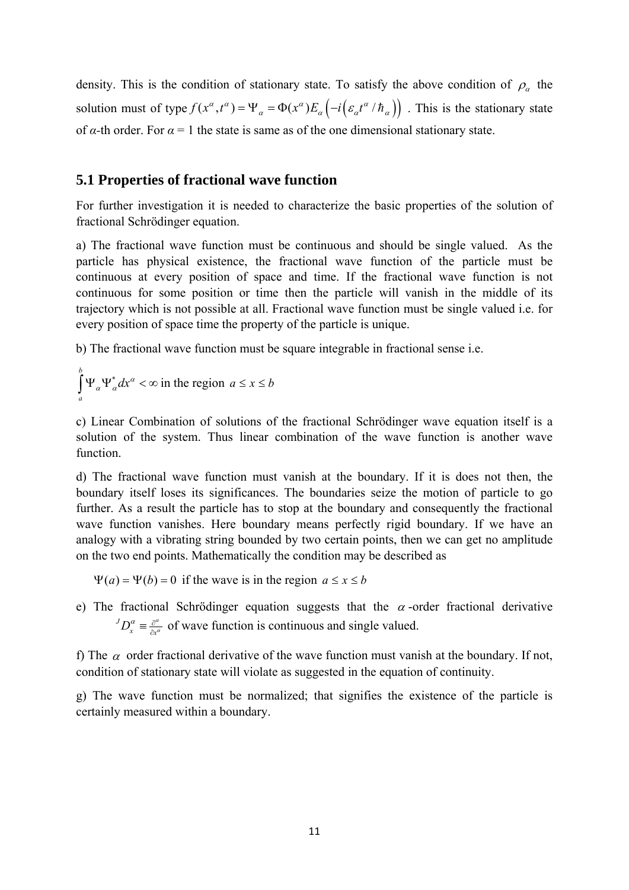density. This is the condition of stationary state. To satisfy the above condition of  $\rho_a$  the solution must of type  $f(x^{\alpha}, t^{\alpha}) = \Psi_{\alpha} = \Phi(x^{\alpha}) E_{\alpha}(-i(\varepsilon_{\alpha}t^{\alpha}/h_{\alpha}))$ . This is the stationary state of  $\alpha$ -th order. For  $\alpha = 1$  the state is same as of the one dimensional stationary state.

# **5.1 Properties of fractional wave function**

For further investigation it is needed to characterize the basic properties of the solution of fractional Schrödinger equation.

a) The fractional wave function must be continuous and should be single valued. As the particle has physical existence, the fractional wave function of the particle must be continuous at every position of space and time. If the fractional wave function is not continuous for some position or time then the particle will vanish in the middle of its trajectory which is not possible at all. Fractional wave function must be single valued i.e. for every position of space time the property of the particle is unique.

b) The fractional wave function must be square integrable in fractional sense i.e.

 $\int_{a}^{*} dx^{\alpha} < \infty$  in the region  $a \le x \le b$ *b a*  $\int \Psi_{\alpha} \Psi_{\alpha}^{*} dx^{\alpha} < \infty$  in the region

c) Linear Combination of solutions of the fractional Schrödinger wave equation itself is a solution of the system. Thus linear combination of the wave function is another wave function.

d) The fractional wave function must vanish at the boundary. If it is does not then, the boundary itself loses its significances. The boundaries seize the motion of particle to go further. As a result the particle has to stop at the boundary and consequently the fractional wave function vanishes. Here boundary means perfectly rigid boundary. If we have an analogy with a vibrating string bounded by two certain points, then we can get no amplitude on the two end points. Mathematically the condition may be described as

 $\Psi(a) = \Psi(b) = 0$  *if the wave is in the region*  $a \le x \le b$ 

e) The fractional Schrödinger equation suggests that the  $\alpha$ -order fractional derivative  $J D_x^{\alpha} = \frac{\partial^{\alpha}}{\partial x^{\alpha}}$  of wave function is continuous and single valued.

f) The  $\alpha$  order fractional derivative of the wave function must vanish at the boundary. If not, condition of stationary state will violate as suggested in the equation of continuity.

g) The wave function must be normalized; that signifies the existence of the particle is certainly measured within a boundary.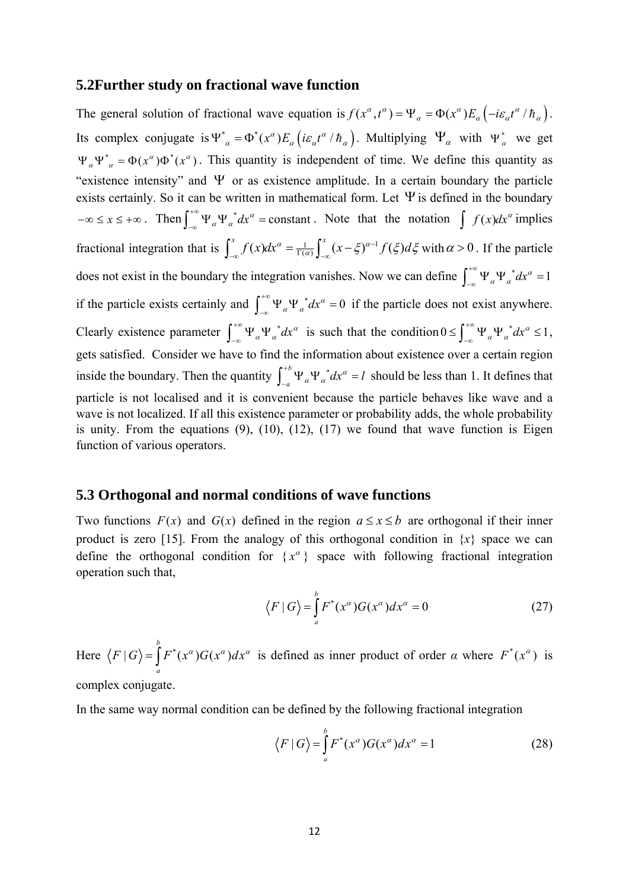### **5.2Further study on fractional wave function**

The general solution of fractional wave equation is  $f(x^{\alpha}, t^{\alpha}) = \Psi_{\alpha} = \Phi(x^{\alpha}) E_{\alpha} \left( -i \varepsilon_{\alpha} t^{\alpha} / h_{\alpha} \right)$ . Its complex conjugate is  $\Psi_{\alpha}^* = \Phi^*(x^{\alpha}) E_{\alpha} (i \varepsilon_a t^{\alpha}/\hbar_{\alpha})$ . Multiplying  $\Psi_{\alpha}$  with  $\Psi_{\alpha}^*$  we get  $\Psi_{\alpha} \Psi_{\alpha}^* = \Phi(x^{\alpha}) \Phi^*(x^{\alpha})$ . This quantity is independent of time. We define this quantity as "existence intensity" and  $\Psi$  or as existence amplitude. In a certain boundary the particle exists certainly. So it can be written in mathematical form. Let  $\Psi$  is defined in the boundary  $-\infty \le x \le +\infty$ . Then  $\int_{-\infty}^{+\infty} \Psi_{\alpha} \Psi_{\alpha}^* dx^{\alpha} = \text{constant}$ . Note that the notation  $\int f(x) dx^{\alpha}$  implies fractional integration that is  $\int_{-\infty}^{x} f(x) dx^{\alpha} = \frac{1}{\Gamma(\alpha)} \int_{-\infty}^{x} (x - \xi)^{\alpha-1} f(\xi) d\xi$  with  $\alpha > 0$ . If the particle ishes. Now we can define  $\int_{-\infty}^{+\infty} \Psi_{\alpha} \Psi_{\alpha}^{*} dx^{\alpha} = 1$ does not exist in the boundary the integration vanishes. Now we can define  $\int_{-\infty}^{+\infty} \Psi_{\alpha} \Psi_{\alpha}^* dx^{\alpha} =$ if the particle exists certainly and  $\int_{-\infty}^{+\infty} \Psi_{\alpha}^* dx^{\alpha} = 0$ +∞  $\int_{-\infty}^{\infty} \Psi_{\alpha} \Psi_{\alpha}^* dx^{\alpha} = 0$  if the particle does not exist anywhere. Clearly existence parameter  $\int_{-\infty}^{\infty} \Psi_{\alpha}^* dx^{\alpha}$  is such that the condition  $0 \leq \int_{-\infty}^{\infty} \Psi_{\alpha}^* dx^{\alpha} \leq 1$  $\int_{-\infty}^{+\infty} \Psi_{\alpha} \Psi_{\alpha}^* dx^{\alpha}$  is such that the condition  $0 \le \int_{-\infty}^{+\infty} \Psi_{\alpha} \Psi_{\alpha}^* dx^{\alpha} \le 1$ , gets satisfied. Consider we have to find the information about existence over a certain region inside the boundary. Then the quantity  $\int_{-a}^{+b} \Psi_{\alpha} \Psi_{\alpha}^* dx^{\alpha} = l$ +  $\int_{-a}^{b} \Psi_{\alpha} \Psi_{\alpha}^* dx^{\alpha} = l$  should be less than 1. It defines that particle is not localised and it is convenient because the particle behaves like wave and a wave is not localized. If all this existence parameter or probability adds, the whole probability is unity. From the equations  $(9)$ ,  $(10)$ ,  $(12)$ ,  $(17)$  we found that wave function is Eigen function of various operators.

### **5.3 Orthogonal and normal conditions of wave functions**

Two functions  $F(x)$  and  $G(x)$  defined in the region  $a \le x \le b$  are orthogonal if their inner product is zero [15]. From the analogy of this orthogonal condition in  $\{x\}$  space we can define the orthogonal condition for  $\{x^{\alpha}\}\$  space with following fractional integration operation such that,

$$
\langle F | G \rangle = \int_{a}^{b} F^*(x^{\alpha}) G(x^{\alpha}) dx^{\alpha} = 0 \tag{27}
$$

Here  $\langle F | G \rangle = \int F^*(x^{\alpha}) G(x^{\alpha})$ *b*  $F|G\rangle = \int_{a} F^{*}(x^{a})G(x^{a})dx^{a}$  is defined as inner product of order *α* where  $F^{*}(x^{a})$  is complex conjugate.

In the same way normal condition can be defined by the following fractional integration

$$
\langle F | G \rangle = \int_{a}^{b} F^*(x^{\alpha}) G(x^{\alpha}) dx^{\alpha} = 1
$$
 (28)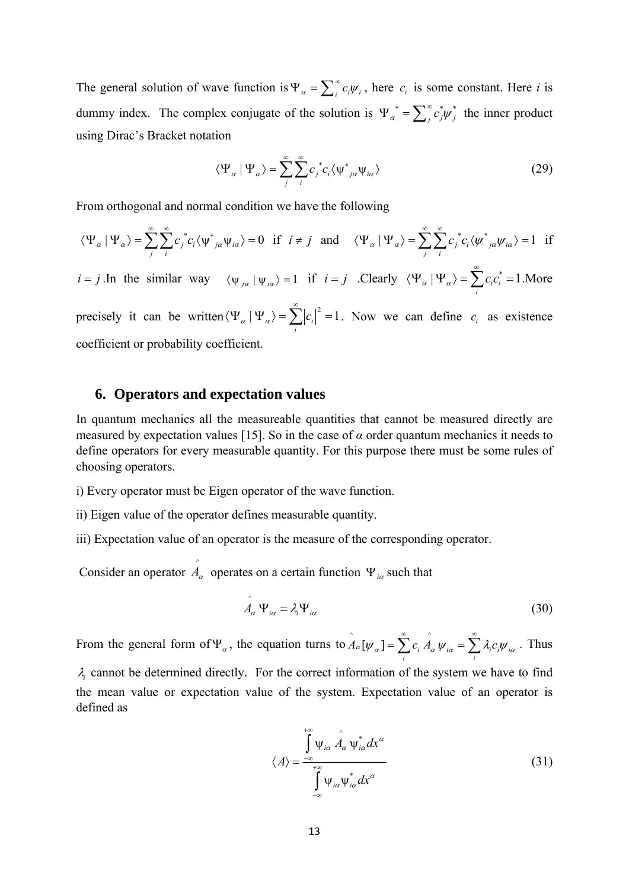The general solution of wave function is  $\Psi_{\alpha} = \sum_{i}^{\infty} c_i \psi_i$ , here  $c_i$  is some constant. Here *i* is dummy index. The complex conjugate of the solution is  $\Psi_{\alpha}^* = \sum_{i=1}^{\infty} c_i^* \psi_i^*$  $\Psi_{\alpha}^{*} = \sum_{j}^{\infty} c_{j}^{*} \psi_{j}^{*}$  the inner product using Dirac's Bracket notation

$$
\langle \Psi_{\alpha} | \Psi_{\alpha} \rangle = \sum_{j}^{\infty} \sum_{i}^{\infty} c_{j}^{*} c_{i} \langle \Psi_{j\alpha}^{*} \Psi_{i\alpha} \rangle
$$
 (29)

From orthogonal and normal condition we have the following

$$
\langle \Psi_{\alpha} | \Psi_{\alpha} \rangle = \sum_{j}^{\infty} \sum_{i}^{\infty} c_{j}^{*} c_{i} \langle \Psi_{j\alpha}^{*} \Psi_{i\alpha} \rangle = 0 \quad \text{if} \quad i \neq j \quad \text{and} \quad \langle \Psi_{\alpha} | \Psi_{\alpha} \rangle = \sum_{j}^{\infty} \sum_{i}^{\infty} c_{j}^{*} c_{i} \langle \Psi_{j\alpha}^{*} \Psi_{i\alpha} \rangle = 1 \quad \text{if}
$$

*i* = *j*. In the similar way  $\langle \psi_{j\alpha} | \psi_{i\alpha} \rangle = 1$  if *i* = *j* .Clearly  $\langle \Psi_{\alpha} | \Psi_{\alpha} \rangle = \sum c_i c_i^* = 1$ *i*  $c_{\alpha} | \Psi_{\alpha} \rangle = \sum c_{i} c_{i}$  $\langle \Psi_{\alpha} | \Psi_{\alpha} \rangle = \sum_{i}^{\infty} c_i c_i^* = 1$ . More precisely it can be written $\langle \Psi_{\alpha} | \Psi_{\alpha} \rangle = \sum |c_i|^2$ | *i*  $\langle \Psi_{\alpha} | \Psi_{\alpha} \rangle = \sum_{i=1}^{\infty} |c_i|^2 = 1$ . Now we can define  $c_i$  as existence

coefficient or probability coefficient.

# **6. Operators and expectation values**

In quantum mechanics all the measureable quantities that cannot be measured directly are measured by expectation values [15]. So in the case of  $\alpha$  order quantum mechanics it needs to define operators for every measurable quantity. For this purpose there must be some rules of choosing operators.

- i) Every operator must be Eigen operator of the wave function.
- ii) Eigen value of the operator defines measurable quantity.
- iii) Expectation value of an operator is the measure of the corresponding operator.

Consider an operator  $\hat{A}_{\alpha}$  operates on a certain function  $\Psi_{i\alpha}$  such that

$$
\hat{A}_{\alpha} \Psi_{i\alpha} = \lambda_i \Psi_{i\alpha} \tag{30}
$$

From the general form of  $\Psi_{\alpha}$ , the equation turns to  $\hat{A}_{\alpha}[\psi_{\alpha}] = \sum_{i}^{\infty} c_i \hat{A}_{\alpha} \psi_{i\alpha} = \sum_{i}^{\infty} \lambda_i c_i \psi_{i\alpha}$  $A_{\alpha}[\psi_{\alpha}] = \sum_{i=1}^{\infty} c_i \hat{A}_{\alpha} \psi_{i\alpha} = \sum_{i=1}^{\infty} \lambda_i c_i \psi_{i\alpha}$ . Thus

<sup>λ</sup>*i* cannot be determined directly. For the correct information of the system we have to find the mean value or expectation value of the system. Expectation value of an operator is defined as

$$
\langle A \rangle = \frac{\int_{-\infty}^{+\infty} \psi_{i\alpha} A_{\alpha} \psi_{i\alpha}^{*} dx^{\alpha}}{\int_{-\infty}^{+\infty} \psi_{i\alpha} \psi_{i\alpha}^{*} dx^{\alpha}}
$$
(31)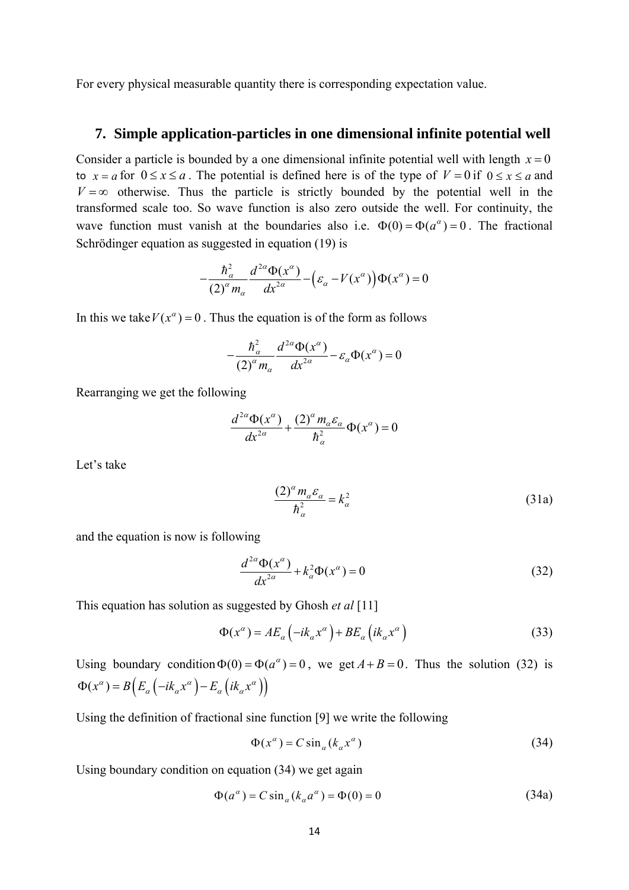For every physical measurable quantity there is corresponding expectation value.

# **7. Simple application-particles in one dimensional infinite potential well**

Consider a particle is bounded by a one dimensional infinite potential well with length  $x = 0$ to  $x = a$  for  $0 \le x \le a$ . The potential is defined here is of the type of  $V = 0$  if  $0 \le x \le a$  and  $V = \infty$  otherwise. Thus the particle is strictly bounded by the potential well in the transformed scale too. So wave function is also zero outside the well. For continuity, the wave function must vanish at the boundaries also i.e.  $\Phi(0) = \Phi(a^{\alpha}) = 0$ . The fractional Schrödinger equation as suggested in equation (19) is

$$
-\frac{\hbar_{\alpha}^{2}}{\left(2\right)^{\alpha}m_{\alpha}}\frac{d^{2\alpha}\Phi(x^{\alpha})}{dx^{2\alpha}}-\left(\varepsilon_{\alpha}-V(x^{\alpha})\right)\Phi(x^{\alpha})=0
$$

In this we take  $V(x^{\alpha})=0$ . Thus the equation is of the form as follows

$$
-\frac{\hbar_{\alpha}^{2}}{(2)^{\alpha}m_{\alpha}}\frac{d^{2\alpha}\Phi(x^{\alpha})}{dx^{2\alpha}}-\varepsilon_{\alpha}\Phi(x^{\alpha})=0
$$

Rearranging we get the following

$$
\frac{d^{2\alpha}\Phi(x^{\alpha})}{dx^{2\alpha}} + \frac{(2)^{\alpha}m_{\alpha}\varepsilon_{\alpha}}{h_{\alpha}^{2}}\Phi(x^{\alpha}) = 0
$$

Let's take

$$
\frac{(2)^{\alpha}m_{\alpha}\varepsilon_{\alpha}}{h_{\alpha}^{2}} = k_{\alpha}^{2}
$$
 (31a)

and the equation is now is following

$$
\frac{d^{2\alpha}\Phi(x^{\alpha})}{dx^{2\alpha}} + k_{\alpha}^{2}\Phi(x^{\alpha}) = 0
$$
\n(32)

This equation has solution as suggested by Ghosh *et al* [11]

$$
\Phi(x^{\alpha}) = AE_{\alpha}(-ik_{\alpha}x^{\alpha}) + BE_{\alpha}(ik_{\alpha}x^{\alpha})
$$
\n(33)

Using boundary condition  $\Phi(0) = \Phi(a^{\alpha}) = 0$ , we get  $A + B = 0$ . Thus the solution (32) is  $\Phi(x^{\alpha}) = B\left(E_{\alpha} \left(-ik_{\alpha}x^{\alpha}\right) - E_{\alpha}\left(ik_{\alpha}x^{\alpha}\right)\right)$ 

Using the definition of fractional sine function [9] we write the following

$$
\Phi(x^{\alpha}) = C \sin_{\alpha} (k_{\alpha} x^{\alpha})
$$
\n(34)

Using boundary condition on equation (34) we get again

$$
\Phi(a^{\alpha}) = C \sin_{\alpha} (k_{\alpha} a^{\alpha}) = \Phi(0) = 0
$$
\n(34a)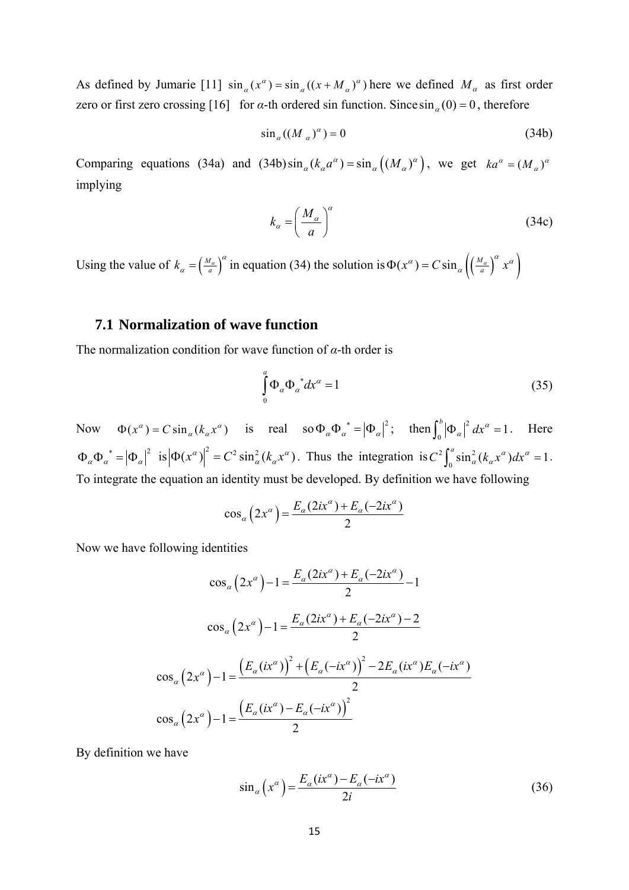As defined by Jumarie [11]  $\sin_{\alpha}(x^{\alpha}) = \sin_{\alpha}((x + M_{\alpha})^{\alpha})$  here we defined  $M_{\alpha}$  as first order zero or first zero crossing [16] for *α*-th ordered sin function. Since  $\sin_{\alpha}(0) = 0$ , therefore

$$
\sin_{\alpha}((M_{\alpha})^{\alpha}) = 0 \tag{34b}
$$

Comparing equations (34a) and  $(34b)\sin_{\alpha}(k_{\alpha}a^{\alpha}) = \sin_{\alpha}( (M_{\alpha})^{\alpha})$ , we get  $ka^{\alpha} = (M_{\alpha})^{\alpha}$ implying

$$
k_{\alpha} = \left(\frac{M_{\alpha}}{a}\right)^{\alpha} \tag{34c}
$$

Using the value of  $k_{\alpha} = \left(\frac{M_{\alpha}}{a}\right)^{\alpha}$  in equation (34) the solution is  $\Phi(x^{\alpha}) = C \sin_{\alpha} \left(\left(\frac{M_{\alpha}}{a}\right)^{\alpha} x^{\alpha}\right)$ 

# **7.1 Normalization of wave function**

The normalization condition for wave function of *α*-th order is

$$
\int_{0}^{a} \Phi_{\alpha} \Phi_{\alpha}^* dx^{\alpha} = 1 \tag{35}
$$

Now  $\Phi(x^{\alpha}) = C \sin_{\alpha} (k_{\alpha} x^{\alpha})$  is real  $\text{so } \Phi_{\alpha} \Phi_{\alpha}^* = |\Phi_{\alpha}|^2$ ; then  $\int_0^b |\Phi_{\alpha}|^2 dx^{\alpha} = 1$ . Here  $\Phi_{\alpha} \Phi_{\alpha}^* = |\Phi_{\alpha}|^2 \text{ is } |\Phi(x^{\alpha})|^2 = C^2 \sin^2_{\alpha}(k_{\alpha}x^{\alpha})$ . Thus the integration is  $C^2 \int_0^a \sin^2_{\alpha}(k_{\alpha}x^{\alpha}) dx^{\alpha} = 1$ . To integrate the equation an identity must be developed. By definition we have following

$$
\cos_{\alpha}\left(2x^{\alpha}\right) = \frac{E_{\alpha}(2ix^{\alpha}) + E_{\alpha}(-2ix^{\alpha})}{2}
$$

Now we have following identities

$$
\cos_{\alpha} (2x^{\alpha}) - 1 = \frac{E_{\alpha} (2ix^{\alpha}) + E_{\alpha} (-2ix^{\alpha})}{2} - 1
$$

$$
\cos_{\alpha} (2x^{\alpha}) - 1 = \frac{E_{\alpha} (2ix^{\alpha}) + E_{\alpha} (-2ix^{\alpha}) - 2}{2}
$$

$$
\cos_{\alpha} (2x^{\alpha}) - 1 = \frac{(E_{\alpha} (ix^{\alpha}))^{2} + (E_{\alpha} (-ix^{\alpha}))^{2} - 2E_{\alpha} (ix^{\alpha})E_{\alpha} (-ix^{\alpha})}{2}
$$

$$
\cos_{\alpha} (2x^{\alpha}) - 1 = \frac{(E_{\alpha} (ix^{\alpha}) - E_{\alpha} (-ix^{\alpha}))^{2}}{2}
$$

By definition we have

$$
\sin_{\alpha}\left(x^{\alpha}\right) = \frac{E_{\alpha}(ix^{\alpha}) - E_{\alpha}(-ix^{\alpha})}{2i} \tag{36}
$$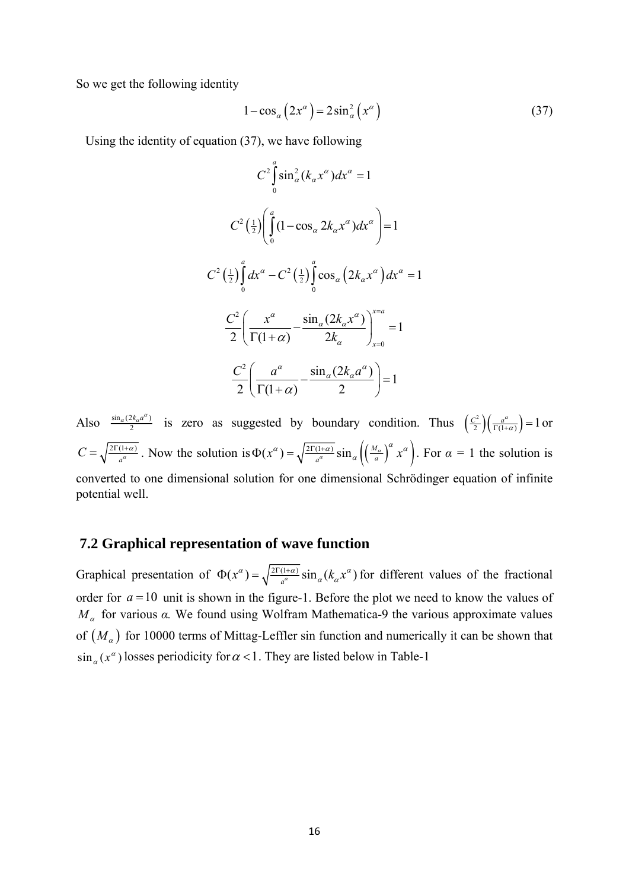So we get the following identity

$$
1 - \cos_{\alpha} \left( 2x^{\alpha} \right) = 2\sin_{\alpha}^{2} \left( x^{\alpha} \right)
$$
 (37)

Using the identity of equation (37), we have following

$$
C^2 \int_0^a \sin_a^2 (k_\alpha x^\alpha) dx^\alpha = 1
$$
  

$$
C^2 \left(\frac{1}{2}\right) \left(\int_0^a \left(1 - \cos_\alpha 2k_\alpha x^\alpha\right) dx^\alpha\right) = 1
$$
  

$$
C^2 \left(\frac{1}{2}\right) \int_0^a dx^\alpha - C^2 \left(\frac{1}{2}\right) \int_0^a \cos_\alpha \left(2k_\alpha x^\alpha\right) dx^\alpha = 1
$$
  

$$
\frac{C^2}{2} \left(\frac{x^\alpha}{\Gamma(1+\alpha)} - \frac{\sin_\alpha (2k_\alpha x^\alpha)}{2k_\alpha}\right)_{x=0}^{x=a} = 1
$$
  

$$
\frac{C^2}{2} \left(\frac{a^\alpha}{\Gamma(1+\alpha)} - \frac{\sin_\alpha (2k_\alpha a^\alpha)}{2}\right) = 1
$$

Also  $\frac{\sin_{\alpha}(2k_{\alpha}a^{\alpha})}{2}$  is zero as suggested by boundary condition. Thus  $\left(\frac{C^2}{2}\right)\left(\frac{a^{\alpha}}{\Gamma(1+\alpha)}\right) = 1$  or  $C = \sqrt{\frac{2\Gamma(1+\alpha)}{a^{\alpha}}}$ . Now the solution is  $\Phi(x^{\alpha}) = \sqrt{\frac{2\Gamma(1+\alpha)}{a^{\alpha}}} \sin_{\alpha} \left( \left(\frac{M_{\alpha}}{a}\right)^{\alpha} x^{\alpha} \right)$  $\Phi(x^{\alpha}) = \sqrt{\frac{2\Gamma(1+\alpha)}{a^{\alpha}}} \sin_{\alpha} \left( \left( \frac{M_{\alpha}}{a} \right)^{\alpha} x^{\alpha} \right)$ . For  $\alpha = 1$  the solution is converted to one dimensional solution for one dimensional Schrödinger equation of infinite potential well.

## **7.2 Graphical representation of wave function**

Graphical presentation of  $\Phi(x^{\alpha}) = \sqrt{\frac{2\Gamma(1+\alpha)}{a^{\alpha}}} \sin_{\alpha}(k_{\alpha}x^{\alpha})$  for different values of the fractional order for  $a = 10$  unit is shown in the figure-1. Before the plot we need to know the values of *M*α for various *α.* We found using Wolfram Mathematica-9 the various approximate values of  $(M_\alpha)$  for 10000 terms of Mittag-Leffler sin function and numerically it can be shown that  $\sin_{\alpha}(x^{\alpha})$  losses periodicity for  $\alpha$  < 1. They are listed below in Table-1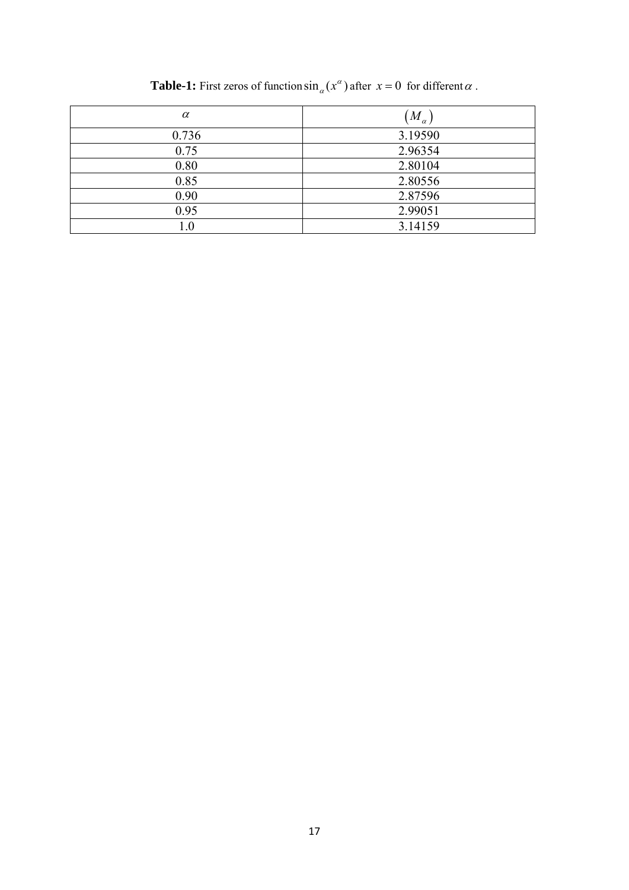| $\alpha$        | ${^{\prime}M}_{\alpha}$ |
|-----------------|-------------------------|
| 0.736           | 3.19590                 |
| 0.75            | 2.96354                 |
| 0.80            | 2.80104                 |
| 0.85            | 2.80556                 |
| 0.90            | 2.87596                 |
| 0.95            | 2.99051                 |
| $\!\!\!\!\!1.0$ | 3.14159                 |

**Table-1:** First zeros of function  $\sin_{\alpha}(x^{\alpha})$  after  $x = 0$  for different  $\alpha$ .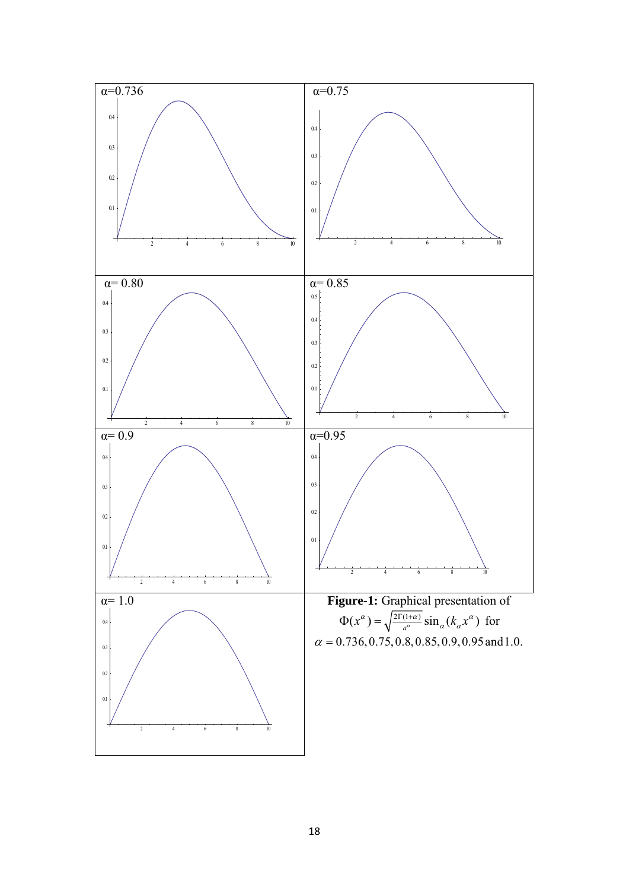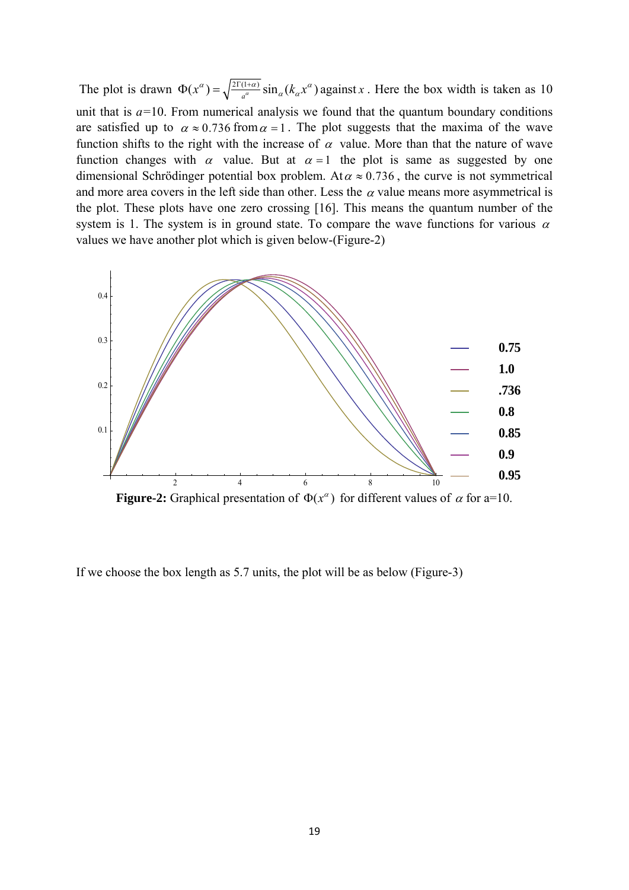The plot is drawn  $\Phi(x^{\alpha}) = \sqrt{\frac{2\Gamma(1+\alpha)}{a^{\alpha}}} \sin_{\alpha}(k_{\alpha}x^{\alpha})$  against *x*. Here the box width is taken as 10 unit that is  $a=10$ . From numerical analysis we found that the quantum boundary conditions are satisfied up to  $\alpha \approx 0.736$  from  $\alpha = 1$ . The plot suggests that the maxima of the wave function shifts to the right with the increase of  $\alpha$  value. More than that the nature of wave function changes with  $\alpha$  value. But at  $\alpha = 1$  the plot is same as suggested by one dimensional Schrödinger potential box problem. At  $\alpha \approx 0.736$ , the curve is not symmetrical and more area covers in the left side than other. Less the  $\alpha$  value means more asymmetrical is the plot. These plots have one zero crossing [16]. This means the quantum number of the system is 1. The system is in ground state. To compare the wave functions for various  $\alpha$ values we have another plot which is given below-(Figure-2)



**Figure-2:** Graphical presentation of  $\Phi(x^\alpha)$  for different values of  $\alpha$  for a=10.

If we choose the box length as 5.7 units, the plot will be as below (Figure-3)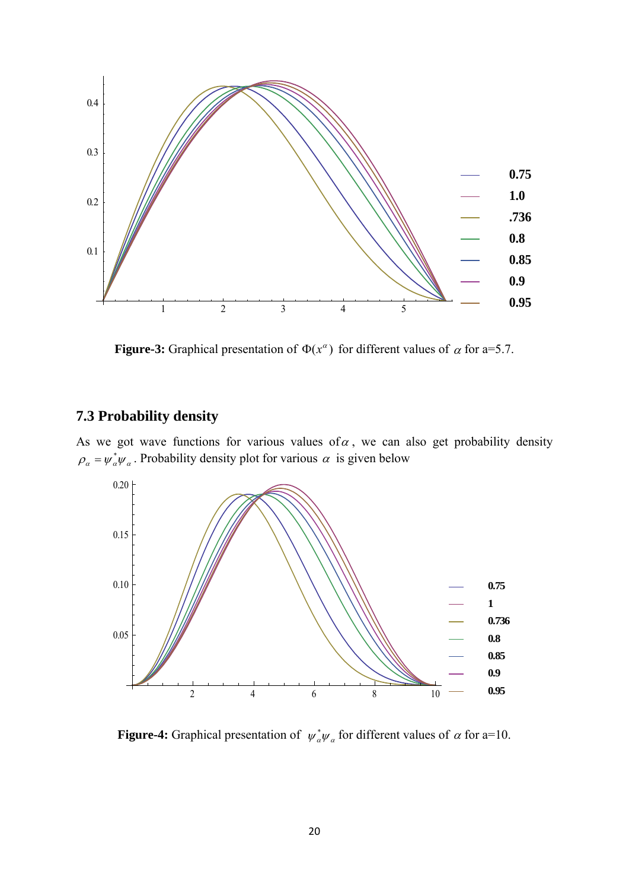

**Figure-3:** Graphical presentation of  $\Phi(x^{\alpha})$  for different values of  $\alpha$  for a=5.7.

# **7.3 Probability density**

As we got wave functions for various values of  $\alpha$ , we can also get probability density  $\rho_{\alpha} = \psi_{\alpha}^* \psi_{\alpha}$ . Probability density plot for various  $\alpha$  is given below



**Figure-4:** Graphical presentation of  $\psi_{\alpha}^* \psi_{\alpha}$  for different values of  $\alpha$  for a=10.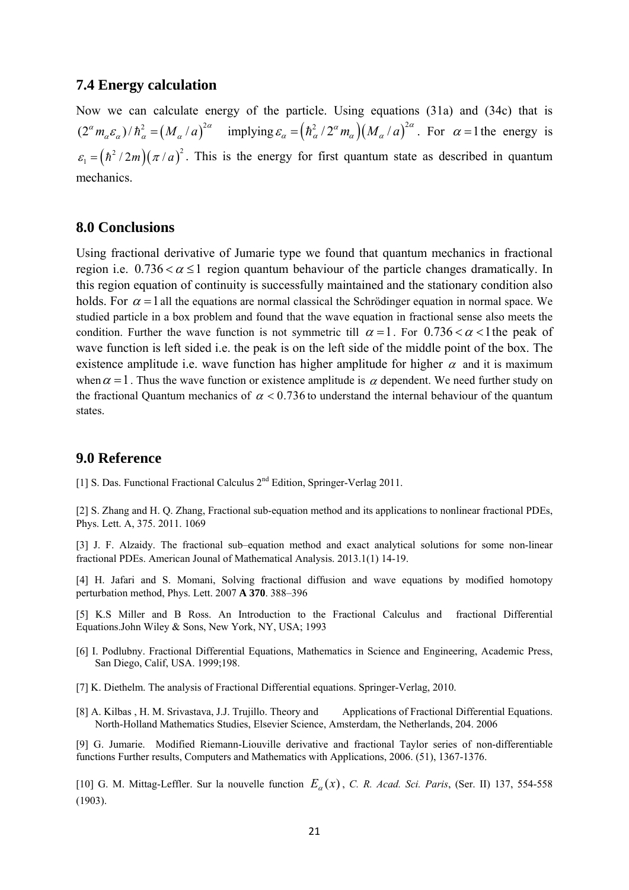## **7.4 Energy calculation**

 $(2^{\alpha} m_{\alpha} \varepsilon_{\alpha})/ \hbar_{\alpha}^{2} = (M_{\alpha}/a)^{2\alpha}$  implying  $\varepsilon_{\alpha} = (\hbar_{\alpha}^{2}/2^{\alpha} m_{\alpha})(M_{\alpha}/a)^{2\alpha}$ . For  $\alpha = 1$  the energy is Now we can calculate energy of the particle. Using equations (31a) and (34c) that is  $\varepsilon_1 = (\hbar^2 / 2m)(\pi / a)^2$ . This is the energy for first quantum state as described in quantum mechanics.

# **8.0 Conclusions**

Using fractional derivative of Jumarie type we found that quantum mechanics in fractional region i.e.  $0.736 < \alpha \leq 1$  region quantum behaviour of the particle changes dramatically. In holds. For  $\alpha = 1$  all the equations are normal classical the Schrödinger equation in normal space. We this region equation of continuity is successfully maintained and the stationary condition also studied particle in a box problem and found that the wave equation in fractional sense also meets the condition. Further the wave function is not symmetric till  $\alpha = 1$ . For  $0.736 < \alpha < 1$  the peak of wave function is left sided i.e. the peak is on the left side of the middle point of the box. The existence amplitude i.e. wave function has higher amplitude for higher  $\alpha$  and it is maximum when  $\alpha = 1$ . Thus the wave function or existence amplitude is  $\alpha$  dependent. We need further study on the fractional Quantum mechanics of  $\alpha < 0.736$  to understand the internal behaviour of the quantum states.

# **9.0 Reference**

[1] S. Das. Functional Fractional Calculus  $2<sup>nd</sup>$  Edition, Springer-Verlag 2011.

[2] S. Zhang and H. Q. Zhang, Fractional sub-equation method and its applications to nonlinear fractional PDEs, Phys. Lett. A, 375. 2011. 1069

[3] J. F. Alzaidy. The fractional sub–equation method and exact analytical solutions for some non-linear fractional PDEs. American Jounal of Mathematical Analysis. 2013.1(1) 14-19.

[4] H. Jafari and S. Momani, Solving fractional diffusion and wave equations by modified homotopy perturbation method, Phys. Lett. 2007 **A 370**. 388–396

[5] K.S Miller and B Ross. An Introduction to the Fractional Calculus and fractional Differential Equations.John Wiley & Sons, New York, NY, USA; 1993

- [6] I. Podlubny. Fractional Differential Equations, Mathematics in Science and Engineering, Academic Press, San Diego, Calif, USA. 1999;198.
- [7] K. Diethelm. The analysis of Fractional Differential equations. Springer-Verlag, 2010.
- [8] A. Kilbas , H. M. Srivastava, J.J. Trujillo. Theory and Applications of Fractional Differential Equations. North-Holland Mathematics Studies, Elsevier Science, Amsterdam, the Netherlands, 204. 2006

[9] G. Jumarie. Modified Riemann-Liouville derivative and fractional Taylor series of non-differentiable functions Further results, Computers and Mathematics with Applications, 2006. (51), 1367-1376.

[10] G. M. Mittag-Leffler. Sur la nouvelle function  $E_{\alpha}(x)$ , C. R. Acad. Sci. Paris, (Ser. II) 137, 554-558 (1903).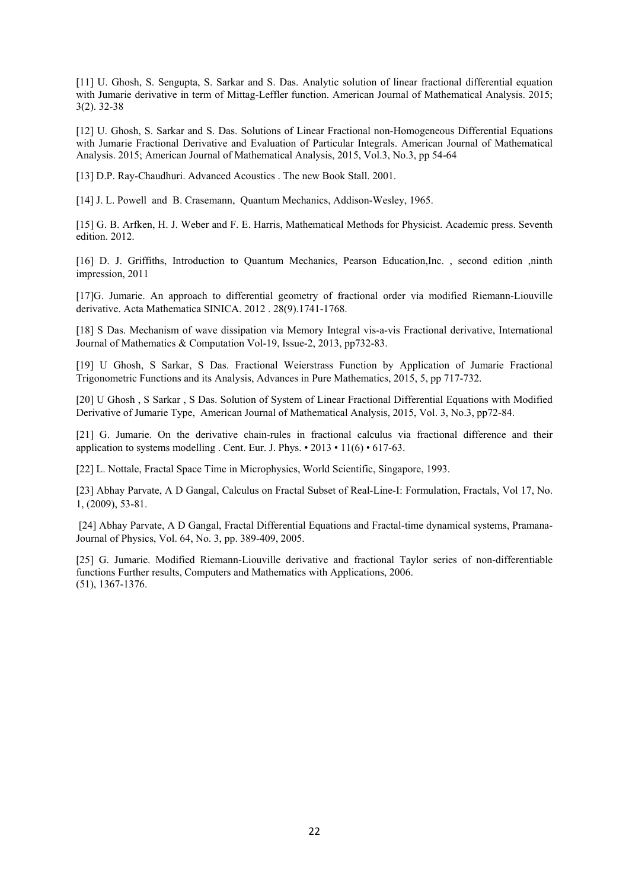[11] U. Ghosh, S. Sengupta, S. Sarkar and S. Das. Analytic solution of linear fractional differential equation with Jumarie derivative in term of Mittag-Leffler function. American Journal of Mathematical Analysis. 2015; 3(2). 32-38

[12] U. Ghosh, S. Sarkar and S. Das. Solutions of Linear Fractional non-Homogeneous Differential Equations with Jumarie Fractional Derivative and Evaluation of Particular Integrals. American Journal of Mathematical Analysis. 2015; American Journal of Mathematical Analysis, 2015, Vol.3, No.3, pp 54-64

[13] D.P. Ray-Chaudhuri. Advanced Acoustics . The new Book Stall. 2001.

[14] J. L. Powell and B. Crasemann, Quantum Mechanics, Addison-Wesley, 1965.

[15] G. B. Arfken, H. J. Weber and F. E. Harris, Mathematical Methods for Physicist. Academic press. Seventh edition. 2012.

[16] D. J. Griffiths, Introduction to Quantum Mechanics, Pearson Education,Inc. , second edition ,ninth impression, 2011

[17]G. Jumarie. An approach to differential geometry of fractional order via modified Riemann-Liouville derivative. Acta Mathematica SINICA. 2012 . 28(9).1741-1768.

[18] S Das. Mechanism of wave dissipation via Memory Integral vis-a-vis Fractional derivative, International Journal of Mathematics & Computation Vol-19, Issue-2, 2013, pp732-83.

[19] U Ghosh, S Sarkar, S Das. Fractional Weierstrass Function by Application of Jumarie Fractional Trigonometric Functions and its Analysis, Advances in Pure Mathematics, 2015, 5, pp 717-732.

[20] U Ghosh , S Sarkar , S Das. Solution of System of Linear Fractional Differential Equations with Modified Derivative of Jumarie Type, American Journal of Mathematical Analysis, 2015, Vol. 3, No.3, pp72-84.

[21] G. Jumarie. On the derivative chain-rules in fractional calculus via fractional difference and their application to systems modelling . Cent. Eur. J. Phys.  $\cdot$  2013  $\cdot$  11(6)  $\cdot$  617-63.

[22] L. Nottale, Fractal Space Time in Microphysics, World Scientific, Singapore, 1993.

[23] Abhay Parvate, A D Gangal, Calculus on Fractal Subset of Real-Line-I: Formulation, Fractals, Vol 17, No. 1, (2009), 53-81.

 [24] Abhay Parvate, A D Gangal, Fractal Differential Equations and Fractal-time dynamical systems, Pramana-Journal of Physics, Vol. 64, No. 3, pp. 389-409, 2005.

[25] G. Jumarie. Modified Riemann-Liouville derivative and fractional Taylor series of non-differentiable functions Further results, Computers and Mathematics with Applications, 2006. (51), 1367-1376.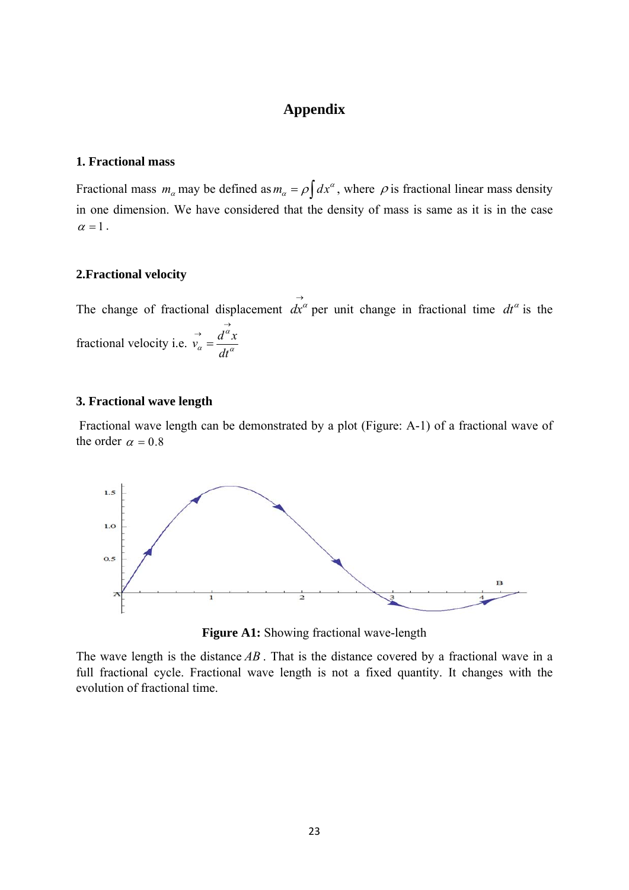# **Appendix**

## **1. Fractional mass**

Fractional mass  $m_\alpha$  may be defined as  $m_\alpha = \rho \int dx^\alpha$ , where  $\rho$  is fractional linear mass density in one dimension. We have considered that the density of mass is same as it is in the case  $\alpha = 1$ .

### **2.Fractional velocity**

The change of fractional displacement  $dx^a$  $\rightarrow$ per unit change in fractional time  $dt^{\alpha}$  is the fractional velocity i.e.  $v_{\alpha} = \frac{d^{\alpha}x}{dx^{\alpha}}$ *dt* α  $\alpha$   $\alpha$  $\rightarrow$  $\rightarrow$ <br> $v_{\alpha} =$ 

### **3. Fractional wave length**

 Fractional wave length can be demonstrated by a plot (Figure: A-1) of a fractional wave of the order  $\alpha = 0.8$ 



**Figure A1:** Showing fractional wave-length

The wave length is the distance *AB* . That is the distance covered by a fractional wave in a full fractional cycle. Fractional wave length is not a fixed quantity. It changes with the evolution of fractional time.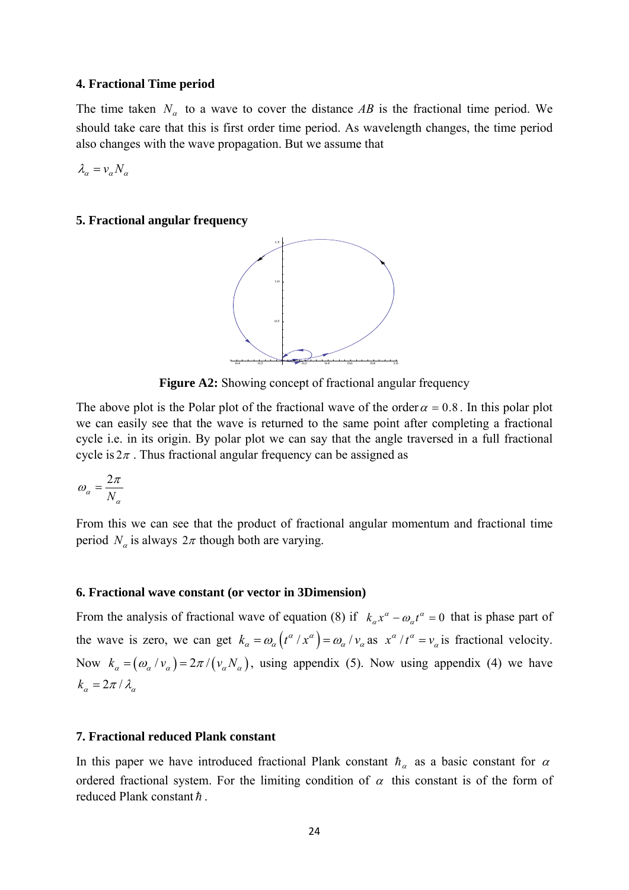#### **4. Fractional Time period**

The time taken  $N_a$  to a wave to cover the distance AB is the fractional time period. We should take care that this is first order time period. As wavelength changes, the time period also changes with the wave propagation. But we assume that

 $\lambda_{\alpha} = v_{\alpha} N_{\alpha}$ 

#### **5. Fractional angular frequency**



**Figure A2:** Showing concept of fractional angular frequency

The above plot is the Polar plot of the fractional wave of the order  $\alpha = 0.8$ . In this polar plot we can easily see that the wave is returned to the same point after completing a fractional cycle i.e. in its origin. By polar plot we can say that the angle traversed in a full fractional cycle is  $2\pi$ . Thus fractional angular frequency can be assigned as

$$
\omega_{\alpha} = \frac{2\pi}{N_{\alpha}}
$$

From this we can see that the product of fractional angular momentum and fractional time period  $N_a$  is always  $2\pi$  though both are varying.

#### **6. Fractional wave constant (or vector in 3Dimension)**

From the analysis of fractional wave of equation (8) if  $k_a x^a - \omega_a t^a = 0$  that is phase part of the wave is zero, we can get  $k_{\alpha} = \omega_{\alpha} (t^{\alpha}/x^{\alpha}) = \omega_{\alpha}/v_{\alpha}$  as  $x^{\alpha}/t^{\alpha} = v_{\alpha}$  is fractional velocity. Now  $k_{\alpha} = (\omega_{\alpha}/v_{\alpha}) = 2\pi/(v_{\alpha}N_{\alpha})$ , using appendix (5). Now using appendix (4) we have  $k_{\alpha} = 2\pi / \lambda_{\alpha}$ 

#### **7. Fractional reduced Plank constant**

In this paper we have introduced fractional Plank constant  $\hbar_a$  as a basic constant for  $\alpha$ ordered fractional system. For the limiting condition of  $\alpha$  this constant is of the form of reduced Plank constant  $\hbar$ .